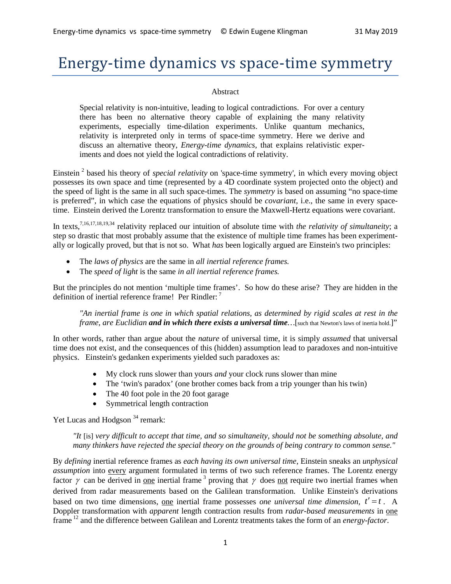# Energy-time dynamics vs space-time symmetry

#### Abstract

Special relativity is non-intuitive, leading to logical contradictions. For over a century there has been no alternative theory capable of explaining the many relativity experiments, especially time-dilation experiments. Unlike quantum mechanics, relativity is interpreted only in terms of space-time symmetry. Here we derive and discuss an alternative theory, *Energy-time dynamics*, that explains relativistic experiments and does not yield the logical contradictions of relativity.

Einstein <sup>2</sup> based his theory of *special relativity* on 'space-time symmetry', in which every moving object possesses its own space and time (represented by a 4D coordinate system projected onto the object) and the speed of light is the same in all such space-times. The *symmetry* is based on assuming "no space-time is preferred", in which case the equations of physics should be *covariant*, i.e., the same in every spacetime. Einstein derived the Lorentz transformation to ensure the Maxwell-Hertz equations were covariant.

In texts,<sup>7,16,17,18,19,34</sup> relativity replaced our intuition of absolute time with *the relativity of simultaneity*; a step so drastic that most probably assume that the existence of multiple time frames has been experimentally or logically proved, but that is not so. What *has* been logically argued are Einstein's two principles:

- The *laws of physics* are the same in *all inertial reference frames.*
- The *speed of light* is the same *in all inertial reference frames.*

But the principles do not mention 'multiple time frames'. So how do these arise? They are hidden in the definition of inertial reference frame! Per Rindler: <sup>7</sup>

*"An inertial frame is one in which spatial relations, as determined by rigid scales at rest in the frame, are Euclidian and in which there exists a universal time … [such that Newton's laws of inertia hold.]"* 

In other words, rather than argue about the *nature* of universal time, it is simply *assumed* that universal time does not exist, and the consequences of this (hidden) assumption lead to paradoxes and non-intuitive physics. Einstein's gedanken experiments yielded such paradoxes as:

- My clock runs slower than yours *and* your clock runs slower than mine
- The 'twin's paradox' (one brother comes back from a trip younger than his twin)
- The 40 foot pole in the 20 foot garage
- Symmetrical length contraction

Yet Lucas and Hodgson<sup>34</sup> remark:

*"It* [is] *very difficult to accept that time, and so simultaneity, should not be something absolute, and many thinkers have rejected the special theory on the grounds of being contrary to common sense."*

By *defining* inertial reference frames as *each having its own universal time*, Einstein sneaks an *unphysical assumption* into every argument formulated in terms of two such reference frames. The Lorentz energy factor  $\gamma$  can be derived in one inertial frame <sup>3</sup> proving that  $\gamma$  does not require two inertial frames when derived from radar measurements based on the Galilean transformation. Unlike Einstein's derivations based on two time dimensions, <u>one</u> inertial frame possesses *one universal time dimension,*  $t' = t$ . A Doppler transformation with *apparent* length contraction results from *radar-based measurements* in one frame <sup>12</sup> and the difference between Galilean and Lorentz treatments takes the form of an *energy-factor*.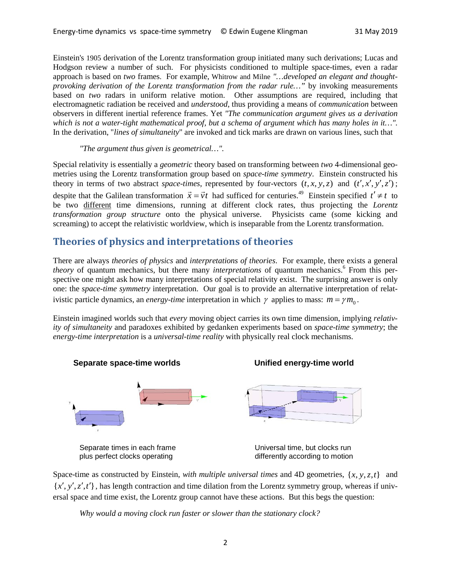Einstein's 1905 derivation of the Lorentz transformation group initiated many such derivations; Lucas and Hodgson review a number of such. For physicists conditioned to multiple space-times, even a radar approach is based on *two* frames. For example, Whitrow and Milne *"…developed an elegant and thoughtprovoking derivation of the Lorentz transformation from the radar rule...*" by invoking measurements based on *two* radars in uniform relative motion. Other assumptions are required, including that electromagnetic radiation be received and *understood*, thus providing a means of *communication* between observers in different inertial reference frames. Yet *"The communication argument gives us a derivation which is not a water-tight mathematical proof, but a schema of argument which has many holes in it…".* In the derivation, "*lines of simultaneity*" are invoked and tick marks are drawn on various lines, such that

*"The argument thus given is geometrical…".*

Special relativity is essentially a *geometric* theory based on transforming between *two* 4-dimensional geometries using the Lorentz transformation group based on *space-time symmetry*. Einstein constructed his theory in terms of two abstract *space-times*, represented by four-vectors  $(t, x, y, z)$  and  $(t', x', y', z')$ ; despite that the Galilean transformation  $\vec{x} = \vec{v}t$  had sufficed for centuries.<sup>49</sup> Einstein specified  $t' \neq t$  to be two different time dimensions, running at different clock rates, thus projecting the *Lorentz transformation group structure* onto the physical universe. Physicists came (some kicking and screaming) to accept the relativistic worldview, which is inseparable from the Lorentz transformation.

# **Theories of physics and interpretations of theories**

There are always *theories of physics* and *interpretations of theories*. For example, there exists a general *theory* of quantum mechanics, but there many *interpretations* of quantum mechanics. <sup>6</sup> From this perspective one might ask how many interpretations of special relativity exist. The surprising answer is only one: the *space-time symmetry* interpretation. Our goal is to provide an alternative interpretation of relativistic particle dynamics, an *energy-time* interpretation in which  $\gamma$  applies to mass:  $m = \gamma m_0$ .

Einstein imagined worlds such that *every* moving object carries its own time dimension, implying *relativity of simultaneity* and paradoxes exhibited by gedanken experiments based on *space-time symmetry*; the *energy-time interpretation* is a *universal-time reality* with physically real clock mechanisms.



Space-time as constructed by Einstein, *with multiple universal times* and 4D geometries,  $\{x, y, z, t\}$  and  ${x', y', z', t'}$ , has length contraction and time dilation from the Lorentz symmetry group, whereas if universal space and time exist, the Lorentz group cannot have these actions. But this begs the question:

*Why would a moving clock run faster or slower than the stationary clock?*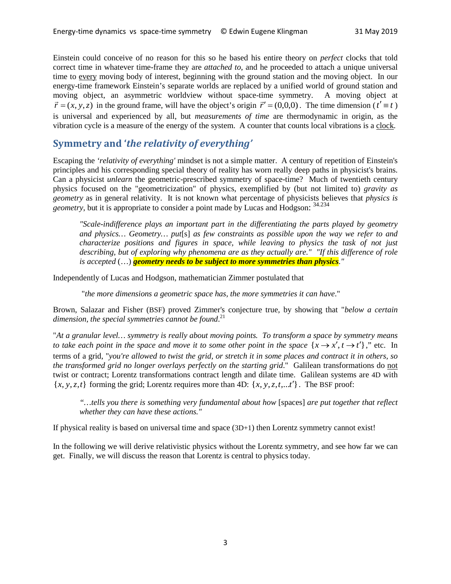Einstein could conceive of no reason for this so he based his entire theory on *perfect* clocks that told correct time in whatever time-frame they are *attached to*, and he proceeded to attach a unique universal time to every moving body of interest, beginning with the ground station and the moving object. In our energy-time framework Einstein's separate worlds are replaced by a unified world of ground station and moving object, an asymmetric worldview without space-time symmetry. A moving object at  $\vec{r}$  = (*x*, *y*, *z*) in the ground frame, will have the object's origin  $\vec{r}'$  = (0,0,0). The time dimension ( $t' \equiv t$ ) is universal and experienced by all, but *measurements of time* are thermodynamic in origin, as the vibration cycle is a measure of the energy of the system. A counter that counts local vibrations is a clock.

# **Symmetry and '***the relativity of everything'*

Escaping the *'relativity of everything'* mindset is not a simple matter. A century of repetition of Einstein's principles and his corresponding special theory of reality has worn really deep paths in physicist's brains. Can a physicist *unlearn* the geometric-prescribed symmetry of space-time? Much of twentieth century physics focused on the "geometricization" of physics, exemplified by (but not limited to) *gravity as geometry* as in general relativity. It is not known what percentage of physicists believes that *physics is geometry*, but it is appropriate to consider a point made by Lucas and Hodgson: <sup>34.234</sup>

*"Scale-indifference plays an important part in the differentiating the parts played by geometry and physics… Geometry… put*[s] *as few constraints as possible upon the way we refer to and characterize positions and figures in space, while leaving to physics the task of not just describing, but of exploring why phenomena are as they actually are." "If this difference of role is accepted* (…) *geometry needs to be subject to more symmetries than physics."*

Independently of Lucas and Hodgson, mathematician Zimmer postulated that

"*the more dimensions a geometric space has, the more symmetries it can have*."

Brown, Salazar and Fisher (BSF) proved Zimmer's conjecture true, by showing that "*below a certain dimension, the special symmetries cannot be found*. 21

"*At a granular level… symmetry is really about moving points. To transform a space by symmetry means to take each point in the space and move it to some other point in the space*  $\{x \rightarrow x', t \rightarrow t'\}$ ," etc. In terms of a grid, "*you're allowed to twist the grid, or stretch it in some places and contract it in others, so the transformed grid no longer overlays perfectly on the starting grid*." Galilean transformations do not twist or contract; Lorentz transformations contract length and dilate time. Galilean systems are 4D with  $\{x, y, z, t\}$  forming the grid; Lorentz requires more than 4D:  $\{x, y, z, t, \ldots t'\}$ . The BSF proof:

*"…tells you there is something very fundamental about how* [spaces] *are put together that reflect whether they can have these actions."*

If physical reality is based on universal time and space (3D+1) then Lorentz symmetry cannot exist!

In the following we will derive relativistic physics without the Lorentz symmetry, and see how far we can get. Finally, we will discuss the reason that Lorentz is central to physics today.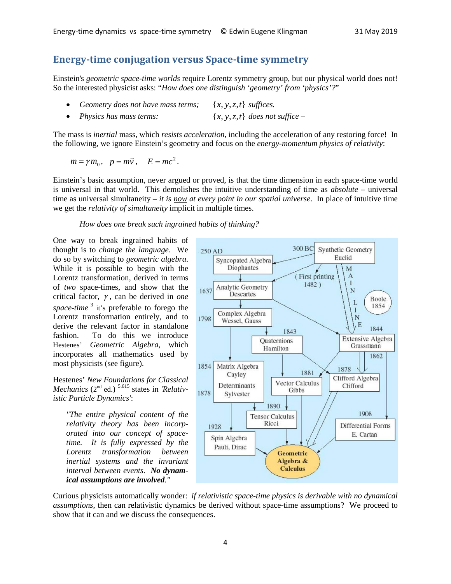# **Energy-time conjugation versus Space-time symmetry**

Einstein's *geometric space-time worlds* require Lorentz symmetry group, but our physical world does not! So the interested physicist asks: "*How does one distinguish 'geometry' from 'physics'?*"

| Geometry does not have mass terms;<br>$\{x, y, z, t\}$ suffices. |  |
|------------------------------------------------------------------|--|
|------------------------------------------------------------------|--|

• *Physics has mass terms:* {*x*, *y*,*z*,*t*} *does not suffice –*

The mass is *inertial* mass, which *resists acceleration,* including the acceleration of any restoring force! In the following, we ignore Einstein's geometry and focus on the *energy-momentum physics of relativity*:

 $m = \gamma m_0, \quad p = m\vec{v}, \quad E = mc^2.$ 

Einstein's basic assumption, never argued or proved, is that the time dimension in each space-time world is universal in that world. This demolishes the intuitive understanding of time as *absolute* – universal time as universal simultaneity *– it is now at every point in our spatial universe*. In place of intuitive time we get the *relativity of simultaneity* implicit in multiple times.

*How does one break such ingrained habits of thinking?* 

One way to break ingrained habits of thought is to *change the language*. We do so by switching to *geometric algebra*. While it is possible to begin with the Lorentz transformation, derived in terms of *two* space-times, and show that the critical factor, γ , can be derived in *one space-time*<sup>3</sup> it's preferable to forego the Lorentz transformation entirely, and to derive the relevant factor in standalone fashion. To do this we introduce Hestenes' *Geometric Algebra*, which incorporates all mathematics used by most physicists (see figure).

Hestenes' *New Foundations for Classical Mechanics* (2<sup>nd</sup> ed.)<sup>5.615</sup> states in *'Relativistic Particle Dynamics'*:

*"The entire physical content of the relativity theory has been incorporated into our concept of spacetime. It is fully expressed by the Lorentz transformation between inertial systems and the invariant interval between events. No dynamical assumptions are involved."*



Curious physicists automatically wonder: *if relativistic space-time physics is derivable with no dynamical assumptions*, then can relativistic dynamics be derived without space-time assumptions? We proceed to show that it can and we discuss the consequences.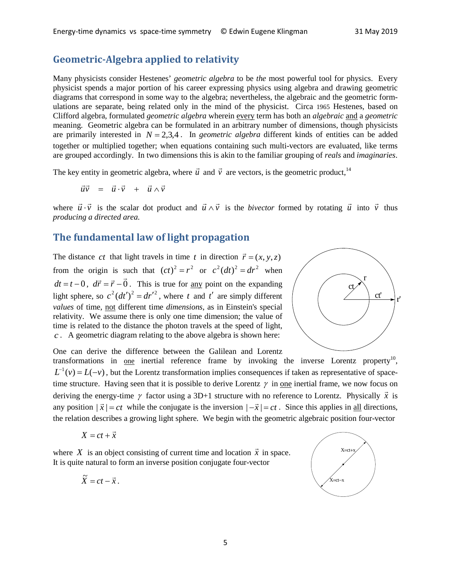# **Geometric-Algebra applied to relativity**

Many physicists consider Hestenes' *geometric algebra* to be *the* most powerful tool for physics. Every physicist spends a major portion of his career expressing physics using algebra and drawing geometric diagrams that correspond in some way to the algebra; nevertheless, the algebraic and the geometric formulations are separate, being related only in the mind of the physicist. Circa 1965 Hestenes, based on Clifford algebra, formulated *geometric algebra* wherein every term has both an *algebraic* and a *geometric* meaning. Geometric algebra can be formulated in an arbitrary number of dimensions, though physicists are primarily interested in  $N = 2.3.4$ . In *geometric algebra* different kinds of entities can be added together or multiplied together; when equations containing such multi-vectors are evaluated, like terms are grouped accordingly. In two dimensions this is akin to the familiar grouping of *reals* and *imaginaries*.

The key entity in geometric algebra, where  $\vec{u}$  and  $\vec{v}$  are vectors, is the geometric product,<sup>14</sup>

$$
\vec{u}\vec{v} = \vec{u}\cdot\vec{v} + \vec{u}\wedge\vec{v}
$$

where  $\vec{u} \cdot \vec{v}$  is the scalar dot product and  $\vec{u} \wedge \vec{v}$  is the *bivector* formed by rotating  $\vec{u}$  into  $\vec{v}$  thus *producing a directed area.* 

# **The fundamental law of light propagation**

The distance *ct* that light travels in time *t* in direction  $\vec{r} = (x, y, z)$ from the origin is such that  $(ct)^2 = r^2$  or  $c^2(dt)^2 = dr^2$  when *dt* = *t* − 0,  $d\vec{r} = \vec{r} - \vec{0}$ . This is true for <u>any</u> point on the expanding light sphere, so  $c^2(dt')^2 = dr'^2$ , where *t* and *t'* are simply different *values* of time, not different time *dimensions*, as in Einstein's special relativity. We assume there is only one time dimension; the value of time is related to the distance the photon travels at the speed of light, *c* . A geometric diagram relating to the above algebra is shown here:



One can derive the difference between the Galilean and Lorentz transformations in <u>one</u> inertial reference frame by invoking the inverse Lorentz property<sup>10</sup>,  $L^{-1}(v) = L(-v)$ , but the Lorentz transformation implies consequences if taken as representative of spacetime structure. Having seen that it is possible to derive Lorentz  $\gamma$  in <u>one</u> inertial frame, we now focus on deriving the energy-time  $\gamma$  factor using a 3D+1 structure with no reference to Lorentz. Physically  $\vec{x}$  is any position  $|\vec{x}| = ct$  while the conjugate is the inversion  $|-\vec{x}| = ct$ . Since this applies in all directions, the relation describes a growing light sphere. We begin with the geometric algebraic position four-vector

$$
X = ct + \vec{x}
$$

where *X* is an object consisting of current time and location  $\vec{x}$  in space. It is quite natural to form an inverse position conjugate four-vector

$$
\widetilde{X}=ct-\vec{x}.
$$

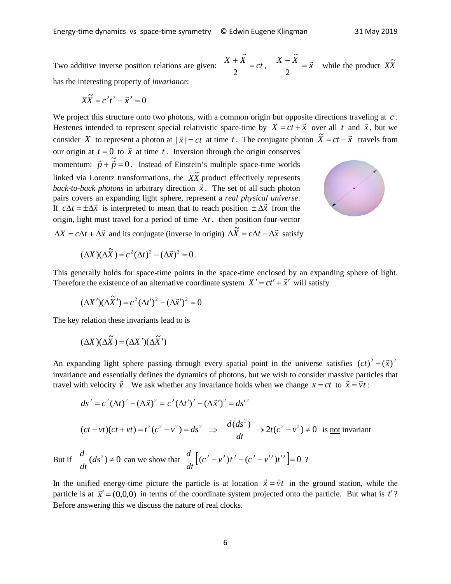Two additive inverse position relations are given:  $\frac{X + \ddot{X}}{2} = ct$ 2  $\frac{X-\widetilde{X}}{2}=\vec{x}$ 2 has the interesting property of *invariance*:

$$
X\widetilde{X} = c^2t^2 - \vec{x}^2 = 0
$$

We project this structure onto two photons, with a common origin but opposite directions traveling at *c*. Hestenes intended to represent special relativistic space-time by  $X = ct + \bar{x}$  over all *t* and  $\bar{x}$ , but we consider *X* to represent a photon at  $|\vec{x}| = ct$  at time *t*. The conjugate photon  $\tilde{X} = ct - \vec{x}$  travels from our origin at  $t = 0$  to  $\vec{x}$  at time *t*. Inversion through the origin conserves momentum:  $\vec{p} + \vec{p} = 0$ . Instead of Einstein's multiple space-time worlds linked via Lorentz transformations, the  $X\tilde{X}$  product effectively represents *back-to-back photons* in arbitrary direction *x*  $\frac{1}{1}$ . The set of all such photon pairs covers an expanding light sphere, represent a *real physical universe*. If  $c\Delta t = \pm \Delta \vec{x}$  is interpreted to mean that to reach position  $\pm \Delta \vec{x}$  from the origin, light must travel for a period of time ∆*t* , then position four-vector  $\Delta X = c\Delta t + \Delta \vec{x}$  and its conjugate (inverse in origin)  $\Delta \vec{X} = c\Delta t - \Delta \vec{x}$  satisfy

.<br>v

 $\tilde{\mathbf{v}}$ 



while the product  $X\widetilde{X}$ 

$$
(\Delta X)(\Delta \tilde{X}) = c^2 (\Delta t)^2 - (\Delta \vec{x})^2 = 0.
$$

This generally holds for space-time points in the space-time enclosed by an expanding sphere of light. Therefore the existence of an alternative coordinate system  $X' = ct' + \vec{x}'$  will satisfy

$$
(\Delta X')(\Delta \tilde{X}') = c^2 (\Delta t')^2 - (\Delta \vec{x}')^2 = 0
$$

The key relation these invariants lead to is

$$
(\Delta X)(\Delta \widetilde{X}) = (\Delta X')(\Delta \widetilde{X}')
$$

But if

An expanding light sphere passing through every spatial point in the universe satisfies  $(ct)^2 - (\bar{x})^2$ invariance and essentially defines the dynamics of photons, but we wish to consider massive particles that travel with velocity *v* when y defines the dynamics of photons, but we wish to consider massive part  $\vec{v}$ . We ask whether any invariance holds when we change  $x = ct$  to  $\vec{x} = \vec{v}t$ :

$$
ds^{2} = c^{2} (\Delta t)^{2} - (\Delta \vec{x})^{2} = c^{2} (\Delta t')^{2} - (\Delta \vec{x}')^{2} = ds'^{2}
$$
  
\n
$$
(ct - vt)(ct + vt) = t^{2} (c^{2} - v^{2}) = ds^{2} \implies \frac{d(ds^{2})}{dt} \to 2t(c^{2} - v^{2}) \neq 0 \text{ is not invariant}
$$
  
\n
$$
\frac{d}{dt} (ds^{2}) \neq 0 \text{ can we show that } \frac{d}{dt} [(c^{2} - v^{2})t^{2} - (c^{2} - v'^{2})t'^{2}] = 0 ?
$$

In the unified energy-time picture the particle is at location  $\vec{x} = \vec{v}t$  in the ground station, while the particle is at  $\vec{x}' = (0,0,0)$  in terms of the coordinate system projected onto the particle. But what is  $t'$ ? Before answering this we discuss the nature of real clocks.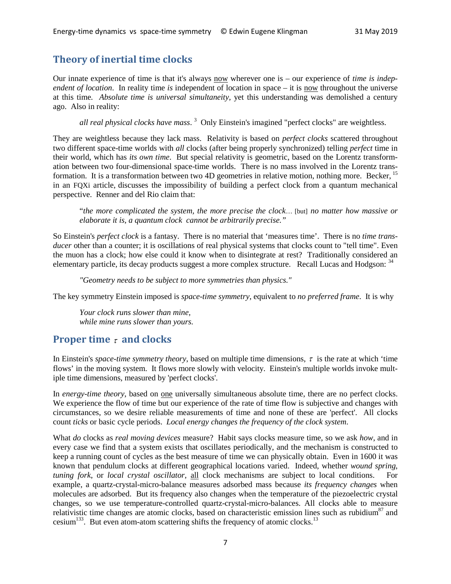# **Theory of inertial time clocks**

Our innate experience of time is that it's always now wherever one is – our experience of *time is independent of location*. In reality time *is* independent of location in space – it is now throughout the universe at this time*. Absolute time is universal simultaneity,* yet this understanding was demolished a century ago. Also in reality:

*all real physical clocks have mass*. <sup>3</sup> Only Einstein's imagined "perfect clocks" are weightless.

They are weightless because they lack mass. Relativity is based on *perfect clocks* scattered throughout two different space-time worlds with *all* clocks (after being properly synchronized) telling *perfect* time in their world, which has *its own time*. But special relativity is geometric, based on the Lorentz transformation between two four-dimensional space-time worlds. There is no mass involved in the Lorentz transformation. It is a transformation between two 4D geometries in relative motion, nothing more. Becker, <sup>15</sup> in an FQXi article, discusses the impossibility of building a perfect clock from a quantum mechanical perspective. Renner and del Rio claim that:

"*the more complicated the system, the more precise the clock*… [but] *no matter how massive or elaborate it is, a quantum clock cannot be arbitrarily precise."*

So Einstein's *perfect clock* is a fantasy. There is no material that 'measures time'. There is no *time transducer* other than a counter; it is oscillations of real physical systems that clocks count to "tell time". Even the muon has a clock; how else could it know when to disintegrate at rest? Traditionally considered an elementary particle, its decay products suggest a more complex structure. Recall Lucas and Hodgson: 34

*"Geometry needs to be subject to more symmetries than physics."*

The key symmetry Einstein imposed is *space-time symmetry*, equivalent to *no preferred frame*. It is why

*Your clock runs slower than mine, while mine runs slower than yours.*

# **Proper time** <sup>τ</sup> **and clocks**

In Einstein's *space-time symmetry theory*, based on multiple time dimensions,  $\tau$  is the rate at which 'time flows' in the moving system. It flows more slowly with velocity. Einstein's multiple worlds invoke multiple time dimensions, measured by 'perfect clocks'.

In *energy-time theory*, based on one universally simultaneous absolute time, there are no perfect clocks. We experience the flow of time but our experience of the rate of time flow is subjective and changes with circumstances, so we desire reliable measurements of time and none of these are 'perfect'. All clocks count *ticks* or basic cycle periods. *Local energy changes the frequency of the clock system*.

What *do* clocks as *real moving devices* measure? Habit says clocks measure time, so we ask *how*, and in every case we find that a system exists that oscillates periodically, and the mechanism is constructed to keep a running count of cycles as the best measure of time we can physically obtain. Even in 1600 it was known that pendulum clocks at different geographical locations varied. Indeed, whether *wound spring*, *tuning fork*, or *local crystal oscillator*, all clock mechanisms are subject to local conditions. For example, a quartz-crystal-micro-balance measures adsorbed mass because *its frequency changes* when molecules are adsorbed. But its frequency also changes when the temperature of the piezoelectric crystal changes, so we use temperature-controlled quartz-crystal-micro-balances. All clocks able to measure relativistic time changes are atomic clocks, based on characteristic emission lines such as rubidium<sup>87</sup> and cesium<sup>133</sup>. But even atom-atom scattering shifts the frequency of atomic clocks.<sup>13</sup>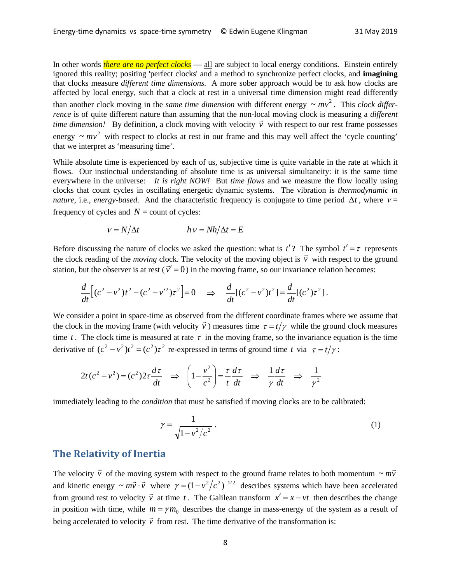In other words *there are no perfect clocks* — all are subject to local energy conditions. Einstein entirely ignored this reality; positing 'perfect clocks' and a method to synchronize perfect clocks, and **imagining** that clocks measure *different time dimensions*. A more sober approach would be to ask how clocks are affected by local energy, such that a clock at rest in a universal time dimension might read differently than another clock moving in the *same time dimension* with different energy  $\sim mv^2$ . This *clock differrence* is of quite different nature than assuming that the non-local moving clock is measuring a *different time dimension!* By definition, a clock moving with velocity  $\vec{v}$  with respect to our rest frame possesses time dimension! By definition, a clock moving with velocity  $\vec{v}$  with respect to our rest frame possesses energy  $\sim mv^2$  with respect to clocks at rest in our frame and this may well affect the 'cycle counting' that we interpret as 'measuring time'.

While absolute time is experienced by each of us, subjective time is quite variable in the rate at which it flows. Our instinctual understanding of absolute time is as universal simultaneity: it is the same time everywhere in the universe: *It is right NOW!* But *time flows* and we measure the flow locally using clocks that count cycles in oscillating energetic dynamic systems. The vibration is *thermodynamic in nature*, i.e., *energy-based*. And the characteristic frequency is conjugate to time period  $\Delta t$ , where  $v =$ frequency of cycles and  $N =$  count of cycles:

$$
v = N/\Delta t \qquad \qquad h \, v = Nh/\Delta t = E
$$

Before discussing the nature of clocks we asked the question: what is  $t'$ ? The symbol  $t' = \tau$  represents the clock reading of the *moving* clock. The velocity of the moving object is  $\vec{v}$  with respect to the ground station, but the observer is at rest ( $\vec{v}' = 0$ ) in the moving frame, so our invariance relation becomes:

$$
\frac{d}{dt}\Big[(c^2 - v^2)t^2 - (c^2 - v'^2)\tau^2\Big] = 0 \quad \Rightarrow \quad \frac{d}{dt}\Big[(c^2 - v^2)t^2\Big] = \frac{d}{dt}\Big[(c^2)\tau^2\Big].
$$

We consider a point in space-time as observed from the different coordinate frames where we assume that the clock in the moving frame (with velocity *v*  $\vec{v}$ ) measures time  $\tau = t/\gamma$  while the ground clock measures time *t*. The clock time is measured at rate  $\tau$  in the moving frame, so the invariance equation is the time derivative of  $(c^2 - v^2)t^2 = (c^2)\tau^2$  re-expressed in terms of ground time *t* via  $\tau = t/\gamma$ :

$$
2t(c^2 - v^2) = (c^2)2\tau \frac{d\tau}{dt} \Rightarrow \left(1 - \frac{v^2}{c^2}\right) = \frac{\tau}{t} \frac{d\tau}{dt} \Rightarrow \frac{1}{\gamma} \frac{d\tau}{dt} \Rightarrow \frac{1}{\gamma^2}
$$

immediately leading to the *condition* that must be satisfied if moving clocks are to be calibrated:

$$
\gamma = \frac{1}{\sqrt{1 - v^2/c^2}} \,. \tag{1}
$$

#### **The Relativity of Inertia**

The velocity  $\vec{v}$  of the moving system with respect to the ground frame relates to both momentum  $\sim m\vec{v}$ and kinetic energy  $\sim m\vec{v} \cdot \vec{v}$  where  $\gamma = (1 - v^2/c^2)^{-1/2}$  describes systems which have been accelerated from ground rest to velocity  $\vec{v}$  at time *t*. The Galilean transform  $x' = x - vt$  then describes the change in position with time, while  $m = \gamma m_0$  describes the change in mass-energy of the system as a result of being accelerated to velocity  $\vec{v}$  from rest. The time derivative of the transformation is: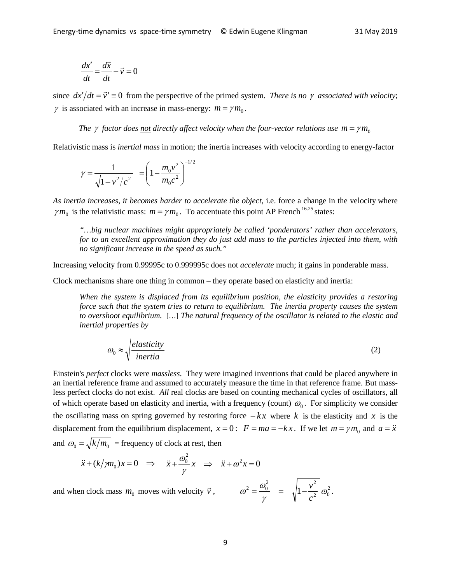$$
\frac{dx'}{dt} = \frac{d\vec{x}}{dt} - \vec{v} = 0
$$

since  $dx'/dt = \vec{v}' = 0$  from the perspective of the primed system. *There is no*  $\gamma$  *associated with velocity*;  $\gamma$  is associated with an increase in mass-energy:  $m = \gamma m_0$ .

#### *The*  $\gamma$  *factor does <u>not</u> directly affect velocity when the four-vector relations use*  $m = \gamma m_0$

Relativistic mass is *inertial mass* in motion; the inertia increases with velocity according to energy-factor

$$
\gamma = \frac{1}{\sqrt{1 - v^2/c^2}} = \left(1 - \frac{m_0 v^2}{m_0 c^2}\right)^{-1/2}
$$

*As inertia increases, it becomes harder to accelerate the object*, i.e. force a change in the velocity where  $\gamma m_0$  is the relativistic mass:  $m = \gamma m_0$ . To accentuate this point AP French <sup>16.25</sup> states:

*"…big nuclear machines might appropriately be called 'ponderators' rather than accelerators, for to an excellent approximation they do just add mass to the particles injected into them, with no significant increase in the speed as such."*

Increasing velocity from 0.99995c to 0.999995c does not *accelerate* much; it gains in ponderable mass.

Clock mechanisms share one thing in common – they operate based on elasticity and inertia:

*When the system is displaced from its equilibrium position, the elasticity provides a restoring force such that the system tries to return to equilibrium. The inertia property causes the system to overshoot equilibrium.* […] *The natural frequency of the oscillator is related to the elastic and inertial properties by*

$$
\omega_0 \approx \sqrt{\frac{elasticity}{inertia}}\tag{2}
$$

Einstein's *perfect* clocks were *massless*. They were imagined inventions that could be placed anywhere in an inertial reference frame and assumed to accurately measure the time in that reference frame. But massless perfect clocks do not exist. *All* real clocks are based on counting mechanical cycles of oscillators, all of which operate based on elasticity and inertia, with a frequency (count)  $\omega_0$ . For simplicity we consider the oscillating mass on spring governed by restoring force  $-kx$  where *k* is the elasticity and *x* is the displacement from the equilibrium displacement,  $x = 0$ :  $F = ma = -kx$ . If we let  $m = \gamma m_0$  and  $a = \ddot{x}$ and  $\omega_0 = \sqrt{k/m_0}$  = frequency of clock at rest, then

$$
\ddot{x} + (k/m_0)x = 0 \implies \ddot{x} + \frac{\omega_0^2}{\gamma}x \implies \ddot{x} + \omega^2 x = 0
$$

and when clock mass  $m_0$  moves with velocity  $\vec{v}$ 

$$
\omega^2 = \frac{\omega_0^2}{\gamma} = \sqrt{1 - \frac{v^2}{c^2}} \omega_0^2.
$$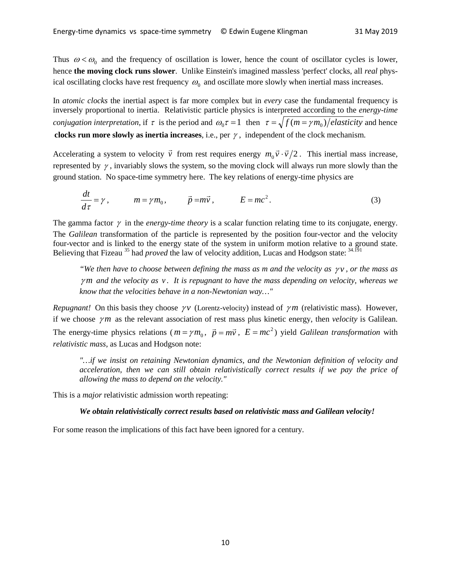Thus  $\omega < \omega_0$  and the frequency of oscillation is lower, hence the count of oscillator cycles is lower, hence **the moving clock runs slower**. Unlike Einstein's imagined massless 'perfect' clocks, all *real* physical oscillating clocks have rest frequency  $\omega_0$  and oscillate more slowly when inertial mass increases.

In *atomic clocks* the inertial aspect is far more complex but in *every* case the fundamental frequency is inversely proportional to inertia. Relativistic particle physics is interpreted according to the *energy-time conjugation interpretation*, if  $\tau$  is the period and  $\omega_0 \tau = 1$  then  $\tau = \sqrt{f(m = \gamma m_0)/}$ elasticity and hence **clocks run more slowly as inertia increases**, i.e., per γ , independent of the clock mechanism.

Accelerating a system to velocity  $\vec{v}$  from rest requires energy  $m_0 \vec{v} \cdot \vec{v}/2$ . This inertial mass increase, represented by  $\gamma$ , invariably slows the system, so the moving clock will always run more slowly than the ground station. No space-time symmetry here. The key relations of energy-time physics are

$$
\frac{dt}{d\tau} = \gamma, \qquad m = \gamma m_0, \qquad \vec{p} = m\vec{v}, \qquad E = mc^2.
$$
 (3)

The gamma factor  $\gamma$  in the *energy-time theory* is a scalar function relating time to its conjugate, energy. The *Galilean* transformation of the particle is represented by the position four-vector and the velocity four-vector and is linked to the energy state of the system in uniform motion relative to a ground state. Believing that Fizeau <sup>35</sup> had *proved* the law of velocity addition, Lucas and Hodgson state: <sup>34.191</sup>

*"We then have to choose between defining the mass as m and the velocity as*  $\gamma v$ *, or the mass as* <sup>γ</sup> *m and the velocity as v . It is repugnant to have the mass depending on velocity, whereas we know that the velocities behave in a non-Newtonian way…"* 

*Repugnant!* On this basis they choose  $\gamma v$  (Lorentz-velocity) instead of  $\gamma m$  (relativistic mass). However, if we choose  $\gamma m$  as the relevant association of rest mass plus kinetic energy, then *velocity* is Galilean. The energy-time physics relations ( $m = \gamma m_0$ ,  $\vec{p} = m\vec{v}$ ,  $E = mc^2$ ) yield *Galilean transformation* with *relativistic mass*, as Lucas and Hodgson note:

*"…if we insist on retaining Newtonian dynamics, and the Newtonian definition of velocity and acceleration, then we can still obtain relativistically correct results if we pay the price of allowing the mass to depend on the velocity."*

This is a *major* relativistic admission worth repeating:

#### *We obtain relativistically correct results based on relativistic mass and Galilean velocity!*

For some reason the implications of this fact have been ignored for a century.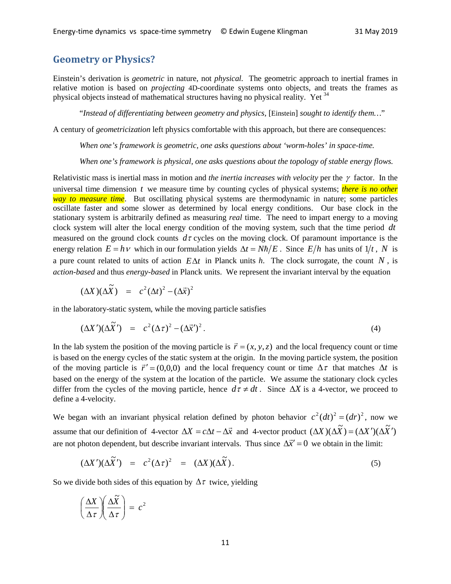#### **Geometry or Physics?**

Einstein's derivation is *geometric* in nature, not *physical.* The geometric approach to inertial frames in relative motion is based on *projecting* 4D-coordinate systems onto objects, and treats the frames as physical objects instead of mathematical structures having no physical reality. Yet <sup>34</sup>

"*Instead of differentiating between geometry and physics,* [Einstein] *sought to identify them…*"

A century of *geometricization* left physics comfortable with this approach, but there are consequences:

*When one's framework is geometric, one asks questions about 'worm-holes' in space-time.* 

*When one's framework is physical, one asks questions about the topology of stable energy flows.*

Relativistic mass is inertial mass in motion and *the inertia increases with velocity* per the γ factor. In the universal time dimension *t* we measure time by counting cycles of physical systems; *there is no other way to measure time*. But oscillating physical systems are thermodynamic in nature; some particles oscillate faster and some slower as determined by local energy conditions. Our base clock in the stationary system is arbitrarily defined as measuring *real* time. The need to impart energy to a moving clock system will alter the local energy condition of the moving system, such that the time period *dt* measured on the ground clock counts  $d\tau$  cycles on the moving clock. Of paramount importance is the energy relation  $E = h v$  which in our formulation yields  $\Delta t = N \hbar / E$ . Since  $E/h$  has units of 1/t, N is a pure count related to units of action *E*∆*t* in Planck units *h*. The clock surrogate, the count *N* , is *action-based* and thus *energy-based* in Planck units. We represent the invariant interval by the equation

$$
(\Delta X)(\Delta \widetilde{X}) = c^2 (\Delta t)^2 - (\Delta \vec{x})^2
$$

in the laboratory-static system, while the moving particle satisfies

$$
(\Delta X')(\Delta \widetilde{X}') = c^2 (\Delta \tau)^2 - (\Delta \vec{x}')^2. \tag{4}
$$

In the lab system the position of the moving particle is  $\vec{r} = (x, y, z)$  and the local frequency count or time is based on the energy cycles of the static system at the origin. In the moving particle system, the position of the moving particle is  $\vec{r}' = (0,0,0)$  and the local frequency count or time  $\Delta \tau$  that matches  $\Delta t$  is based on the energy of the system at the location of the particle. We assume the stationary clock cycles differ from the cycles of the moving particle, hence  $d\tau \neq dt$ . Since  $\Delta X$  is a 4-vector, we proceed to define a 4-velocity.

We began with an invariant physical relation defined by photon behavior  $c^2(dt)^2 = (dr)^2$ , now we assume that our definition of 4-vector  $\Delta X = c\Delta t - \Delta \vec{x}$  and 4-vector product  $(\Delta X)(\Delta \vec{X}) = (\Delta X')(\Delta \vec{X}')$ are not photon dependent, but describe invariant intervals. Thus since  $\Delta \vec{x}' = 0$  we obtain in the limit:

$$
(\Delta X')(\Delta \widetilde{X}') = c^2 (\Delta \tau)^2 = (\Delta X)(\Delta \widetilde{X}). \tag{5}
$$

So we divide both sides of this equation by  $\Delta \tau$  twice, yielding

$$
\left(\frac{\Delta X}{\Delta \tau}\right)\left(\frac{\Delta \widetilde{X}}{\Delta \tau}\right) = c^2
$$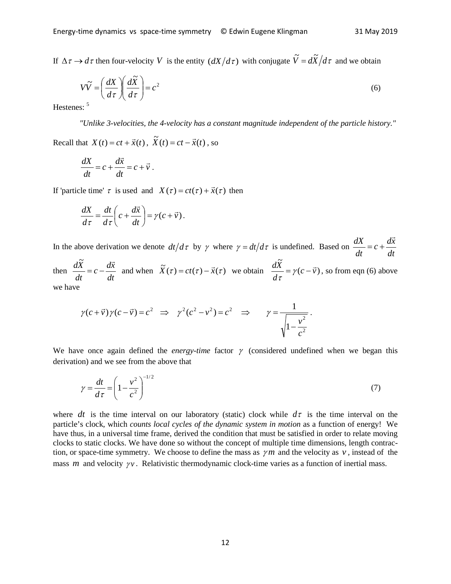If  $\Delta \tau \rightarrow d\tau$  then four-velocity *V* is the entity  $\left(dX/d\tau\right)$  with conjugate  $\tilde{V} = d\tilde{X}/d\tau$  and we obtain

$$
V\widetilde{V} = \left(\frac{dX}{d\tau}\right)\left(\frac{d\widetilde{X}}{d\tau}\right) = c^2\tag{6}
$$

Hestenes:

*"Unlike 3-velocities, the 4-velocity has a constant magnitude independent of the particle history."*

Recall that  $X(t) = ct + \vec{x}(t)$ ,  $\widetilde{X}(t) = ct - \vec{x}(t)$ , so

$$
\frac{dX}{dt} = c + \frac{d\vec{x}}{dt} = c + \vec{v}.
$$

If 'particle time'  $\tau$  is used and  $X(\tau) = ct(\tau) + \vec{x}(\tau)$  then

$$
\frac{dX}{d\tau} = \frac{dt}{d\tau} \left( c + \frac{d\vec{x}}{dt} \right) = \gamma (c + \vec{v}).
$$

In the above derivation we denote  $dt/d\tau$  by  $\gamma$  where  $\gamma = dt/d\tau$  is undefined. Based on *dt*  $c + \frac{d\vec{x}}{d\vec{x}}$ *dt*  $\frac{dX}{dx} = c + \frac{d\vec{x}}{dx}$ 

then *dt*  $c - \frac{d\vec{x}}{d\vec{x}}$ *dt*  $\frac{d\tilde{X}}{dt} = c - \frac{d\vec{x}}{dt}$  $\frac{\widetilde{X}}{\tau} = c - \frac{d\widetilde{x}}{\tau}$  and when  $\widetilde{X}(\tau) = ct(\tau) - \widetilde{x}(\tau)$  we obtain  $\frac{d\widetilde{X}}{\tau} = \gamma(c - \widetilde{v})$  $c - \vec{v}$ *d*  $\frac{d\vec{X}}{d\tau} = \gamma(c - \vec{v})$ , so from eqn (6) above we have

$$
\gamma(c+\vec{v})\gamma(c-\vec{v})=c^2 \Rightarrow \gamma^2(c^2-v^2)=c^2 \Rightarrow \gamma=\frac{1}{\sqrt{1-\frac{v^2}{c^2}}}.
$$

We have once again defined the *energy-time* factor  $\gamma$  (considered undefined when we began this derivation) and we see from the above that

$$
\gamma = \frac{dt}{d\tau} = \left(1 - \frac{v^2}{c^2}\right)^{-1/2} \tag{7}
$$

where *dt* is the time interval on our laboratory (static) clock while  $d\tau$  is the time interval on the particle's clock, which *counts local cycles of the dynamic system in motion* as a function of energy! We have thus, in a universal time frame, derived the condition that must be satisfied in order to relate moving clocks to static clocks. We have done so without the concept of multiple time dimensions, length contraction, or space-time symmetry. We choose to define the mass as  $\gamma m$  and the velocity as  $v$ , instead of the mass *m* and velocity  $\gamma v$ . Relativistic thermodynamic clock-time varies as a function of inertial mass.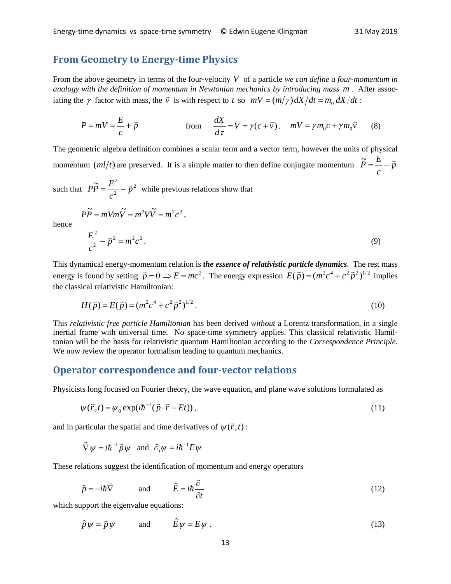#### **From Geometry to Energy-time Physics**

From the above geometry in terms of the four-velocity *V* of a particle *we can define a four-momentum in analogy with the definition of momentum in Newtonian mechanics by introducing mass m* . After associating the  $\gamma$  factor with mass, the  $\vec{v}$  is with respect to *t* so  $mV = (m/\gamma) dX/dt = m_0 dX/dt$ :

$$
P = mV = \frac{E}{c} + \vec{p}
$$
 from 
$$
\frac{dX}{d\tau} = V = \gamma(c + \vec{v}), \quad mV = \gamma m_0 c + \gamma m_0 \vec{v}
$$
 (8)

The geometric algebra definition combines a scalar term and a vector term, however the units of physical momentum  $(ml/t)$  are preserved. It is a simple matter to then define conjugate momentum  $P = \frac{p}{r} - \vec{p}$ *c*  $\widetilde{P} = \frac{E}{\overline{P}} - \vec{p}$ 

such that  $P\widetilde{P} = \frac{E^2}{a^2} - \vec{p}^2$ *c*  $P\widetilde{P} = \frac{E^2}{r^2} - \vec{p}^2$  while previous relations show that

$$
P\widetilde{P} = mVm\widetilde{V} = m^2V\widetilde{V} = m^2c^2,
$$

hence

$$
\frac{E^2}{c^2} - \vec{p}^2 = m^2 c^2.
$$
 (9)

This dynamical energy-momentum relation is *the essence of relativistic particle dynamics*. The rest mass energy is found by setting  $\vec{p} = 0 \implies E = mc^2$ . The energy expression  $E(\vec{p}) = (m^2c^4 + c^2\vec{p}^2)^{1/2}$  implies the classical relativistic Hamiltonian:

$$
H(\vec{p}) = E(\vec{p}) = (m^2c^4 + c^2\vec{p}^2)^{1/2}.
$$
 (10)

This *relativistic free particle Hamiltonian* has been derived *without* a Lorentz transformation, in a single inertial frame with universal time. No space-time symmetry applies. This classical relativistic Hamiltonian will be the basis for relativistic quantum Hamiltonian according to the *Correspondence Principle*. We now review the operator formalism leading to quantum mechanics.

#### **Operator correspondence and four-vector relations**

Physicists long focused on Fourier theory, the wave equation, and plane wave solutions formulated as

$$
\psi(\vec{r},t) = \psi_0 \exp(i\hbar^{-1}(\vec{p}\cdot\vec{r} - Et)),
$$
\n(11)

and in particular the spatial and time derivatives of  $\psi(\vec{r},t)$ :

$$
\vec{\nabla}\psi = i\hbar^{-1}\vec{p}\psi
$$
 and  $\partial_t\psi = i\hbar^{-1}E\psi$ 

These relations suggest the identification of momentum and energy operators

$$
\hat{p} = -i\hbar \vec{\nabla} \qquad \text{and} \qquad \hat{E} = i\hbar \frac{\partial}{\partial t} \qquad (12)
$$

which support the eigenvalue equations:

$$
\hat{p}\psi = \vec{p}\psi \qquad \text{and} \qquad \hat{E}\psi = E\psi \ . \tag{13}
$$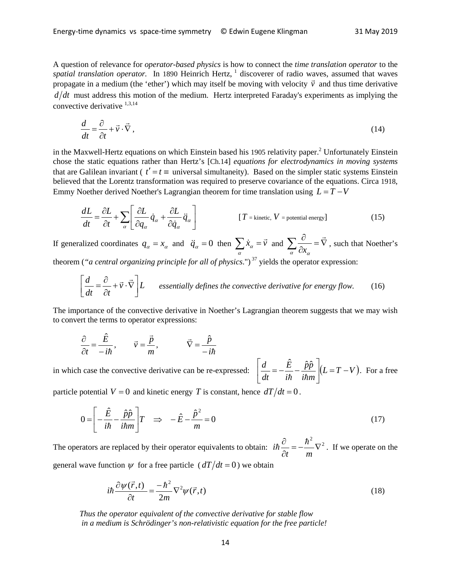A question of relevance for *operator-based physics* is how to connect the *time translation operator* to the *spatial translation operator.* In 1890 Heinrich Hertz, <sup>1</sup> discoverer of radio waves, assumed that waves propagate in a medium (the 'ether') which may itself be moving with velocity  $\vec{v}$  and thus time derivative propagate in a medium (the 'ether') which may itself be moving with velocity  $\vec{v}$  and thus time derivative  $d/dt$  must address this motion of the medium. Hertz interpreted Faraday's experiments as implying the convective derivative  $1,3,14$ 

$$
\frac{d}{dt} = \frac{\partial}{\partial t} + \vec{v} \cdot \vec{\nabla},\tag{14}
$$

in the Maxwell-Hertz equations on which Einstein based his 1905 relativity paper.<sup>2</sup> Unfortunately Einstein chose the static equations rather than Hertz's [Ch.14] *equations for electrodynamics in moving systems* that are Galilean invariant ( $t' = t \equiv$  universal simultaneity). Based on the simpler static systems Einstein believed that the Lorentz transformation was required to preserve covariance of the equations. Circa 1918, Emmy Noether derived Noether's Lagrangian theorem for time translation using  $L = T - V$ 

$$
\frac{dL}{dt} = \frac{\partial L}{\partial t} + \sum_{\alpha} \left[ \frac{\partial L}{\partial q_{\alpha}} \dot{q}_{\alpha} + \frac{\partial L}{\partial \dot{q}_{\alpha}} \ddot{q}_{\alpha} \right]
$$
 [T = kinetic, V = potential energy] (15)

If generalized coordinates  $q_{\alpha} = x_{\alpha}$  and  $\ddot{q}_{\alpha} = 0$  then  $\sum_{\alpha} \dot{x}_{\alpha} = \vec{v}$  $\vec{v}_\alpha = \vec{v}$  and  $\sum_{n=1}^{\infty} \vec{v}_\alpha = \nabla$  $\sum_{\alpha} \frac{\partial}{\partial x_{\alpha}} = \vec{\nabla}$ , such that Noether's

theorem (*"a central organizing principle for all of physics*.")<sup>37</sup> yields the operator expression:

$$
\left[\frac{d}{dt} = \frac{\partial}{\partial t} + \vec{v} \cdot \vec{\nabla}\right] L
$$
 essentially defines the convective derivative for energy flow. (16)

The importance of the convective derivative in Noether's Lagrangian theorem suggests that we may wish to convert the terms to operator expressions:

$$
\frac{\partial}{\partial t} = \frac{\hat{E}}{-i\hbar}, \qquad \vec{v} = \frac{\vec{p}}{m}, \qquad \vec{\nabla} = \frac{\hat{p}}{-i\hbar}
$$

in which case the convective derivative can be re-expressed:  $\left| \frac{d}{dt} = -\frac{E}{i\hbar} - \frac{\hat{p}\hat{p}}{i\hbar m} \right| (L = T - V)$ 

particle potential  $V = 0$  and kinetic energy *T* is constant, hence  $dT/dt = 0$ .

$$
0 = \left[ -\frac{\hat{E}}{i\hbar} - \frac{\hat{p}\hat{p}}{i\hbar m} \right] T \quad \Rightarrow \quad -\hat{E} - \frac{\hat{p}^2}{m} = 0 \tag{17}
$$

*i E*

 $\frac{d}{dt} = -\frac{\hat{E}}{dt} - \frac{\hat{p}\hat{p}}{dt}$ 

 $\frac{d}{dt} = -\frac{E}{i\hbar} - \frac{\hat{p}\hat{p}}{i\hbar m}\left[(L = T -$ 

 $\perp$ 

 $\left[\frac{d}{dt} = -\frac{\hat{E}}{i\hbar} - \frac{\hat{p}\hat{p}}{i\hbar m}\right](L = T - V)$ . For a free

The operators are replaced by their operator equivalents to obtain:  $i\hbar \frac{\partial}{\partial t} = -\frac{\hbar^2}{2} \nabla^2$  $=-\frac{n}{v}$ ∂ ∂ *t m*  $i\hbar \frac{\partial}{\partial t} = -\frac{\hbar^2}{2} \nabla^2$ . If we operate on the general wave function  $\psi$  for a free particle ( $dT/dt = 0$ ) we obtain

$$
i\hbar \frac{\partial \psi(\vec{r},t)}{\partial t} = \frac{-\hbar^2}{2m} \nabla^2 \psi(\vec{r},t)
$$
\n(18)

*Thus the operator equivalent of the convective derivative for stable flow in a medium is Schrödinger's non-relativistic equation for the free particle!*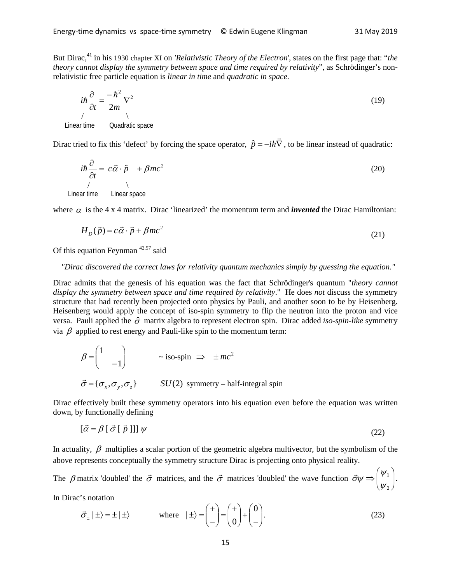But Dirac,41 in his 1930 chapter XI on *'Relativistic Theory of the Electron*', states on the first page that: "*the theory cannot display the symmetry between space and time required by relativity*", as Schrödinger's nonrelativistic free particle equation is *linear in time* and *quadratic in space*.

$$
i\hbar \frac{\partial}{\partial t} = \frac{-\hbar^2}{2m} \nabla^2
$$
\n
$$
\downarrow
$$
\nLinear time Quadratic space

Dirac tried to fix this 'defect' by forcing the space operator,  $\hat{p} = -i\hbar \vec{\nabla}$ , to be linear instead of quadratic:

$$
i\hbar \frac{\partial}{\partial t} = c\vec{\alpha} \cdot \hat{p} + \beta mc^2
$$
\n(20)\n  
\nLinear time Linear space

where  $\alpha$  is the 4 x 4 matrix. Dirac 'linearized' the momentum term and *invented* the Dirac Hamiltonian:

$$
H_D(\vec{p}) = c\vec{\alpha} \cdot \vec{p} + \beta mc^2 \tag{21}
$$

Of this equation Feynman  $42.57$  said

#### *"Dirac discovered the correct laws for relativity quantum mechanics simply by guessing the equation."*

Dirac admits that the genesis of his equation was the fact that Schrödinger's quantum "*theory cannot display the symmetry between space and time required by relativity*." He does *not* discuss the symmetry structure that had recently been projected onto physics by Pauli, and another soon to be by Heisenberg. Heisenberg would apply the concept of iso-spin symmetry to flip the neutron into the proton and vice versa. Pauli applied the σˆ matrix algebra to represent electron spin. Dirac added *iso-spin-like* symmetry via β applied to rest energy and Pauli-like spin to the momentum term:

$$
\beta = \begin{pmatrix} 1 & & \\ & -1 & \end{pmatrix} \qquad \sim \text{iso-spin} \implies \pm mc^2
$$
  

$$
\vec{\sigma} = \{\sigma_x, \sigma_y, \sigma_z\} \qquad SU(2) \text{ symmetry – half-integral spin}
$$

Dirac effectively built these symmetry operators into his equation even before the equation was written down, by functionally defining

$$
[\vec{\alpha} = \beta [\vec{\sigma} [\vec{p}]]] \psi \tag{22}
$$

In actuality,  $\beta$  multiplies a scalar portion of the geometric algebra multivector, but the symbolism of the above represents conceptually the symmetry structure Dirac is projecting onto physical reality.

The  $\beta$  matrix 'doubled' the  $\vec{\sigma}$  matrices, and the  $\vec{\sigma}$  matrices 'doubled' the wave function  $\vec{\sigma}\psi \Rightarrow \begin{pmatrix} \psi_1 \\ \psi_2 \end{pmatrix}$ J  $\setminus$  $\overline{\phantom{a}}$  $\setminus$ ſ  $\Rightarrow$   $\vert \ ^{\varphi_1}$ 2 ψ ψ  $\vec{\sigma}\psi \Rightarrow \begin{pmatrix} \psi_1 \\ \psi_2 \end{pmatrix}$ .

In Dirac's notation

$$
\vec{\sigma}_{\pm} | \pm \rangle = \pm | \pm \rangle \qquad \text{where} \quad | \pm \rangle = \begin{pmatrix} + \\ - \end{pmatrix} = \begin{pmatrix} + \\ 0 \end{pmatrix} + \begin{pmatrix} 0 \\ - \end{pmatrix}.
$$
 (23)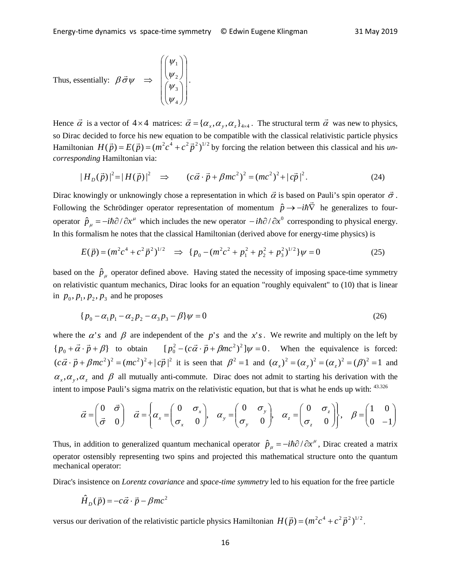Thus, essentially: 
$$
\beta \vec{\sigma} \psi \Rightarrow \begin{pmatrix} (\psi_1) \\ (\psi_2) \\ (\psi_3) \\ (\psi_4) \end{pmatrix}
$$
.

Hence  $\vec{\alpha}$  is a vector of  $4 \times 4$  matrices:  $\vec{\alpha} = {\alpha_x, \alpha_y, \alpha_z}_{4 \times 4}$ . The structural term  $\vec{\alpha}$  was new to physics, so Dirac decided to force his new equation to be compatible with the classical relativistic particle physics Hamiltonian  $H(\vec{p}) = E(\vec{p}) = (m^2c^4 + c^2\vec{p}^2)^{1/2}$  by forcing the relation between this classical and his *uncorresponding* Hamiltonian via:

$$
|H_D(\vec{p})|^2 = |H(\vec{p})|^2 \implies (c\vec{\alpha} \cdot \vec{p} + \beta mc^2)^2 = (mc^2)^2 + |c\vec{p}|^2. \tag{24}
$$

Dirac knowingly or unknowingly chose a representation in which  $\vec{\alpha}$  is based on Pauli's spin operator  $\vec{\sigma}$ . Following the Schrödinger operator representation of momentum  $\hat{p} \rightarrow -i\hbar \vec{\nabla}$  he generalizes to four-<br>Following the Schrödinger operator representation of momentum  $\hat{p} \rightarrow -i\hbar \vec{\nabla}$  he generalizes to fouroperator  $\hat{p}_{\mu} = -i\hbar \partial / \partial x^{\mu}$  which includes the new operator  $-i\hbar \partial / \partial x^0$  corresponding to physical energy. In this formalism he notes that the classical Hamiltonian (derived above for energy-time physics) is

$$
E(\vec{p}) = (m^2c^4 + c^2\vec{p}^2)^{1/2} \implies \{p_0 - (m^2c^2 + p_1^2 + p_2^2 + p_3^2)^{1/2}\}\psi = 0
$$
 (25)

based on the  $\hat{p}_{\mu}$  operator defined above. Having stated the necessity of imposing space-time symmetry on relativistic quantum mechanics, Dirac looks for an equation "roughly equivalent" to (10) that is linear in  $p_0$ ,  $p_1$ ,  $p_2$ ,  $p_3$  and he proposes

$$
\{p_0 - \alpha_1 p_1 - \alpha_2 p_2 - \alpha_3 p_3 - \beta\}\psi = 0\tag{26}
$$

where the  $\alpha$ '*s* and  $\beta$  are independent of the *p*'*s* and the *x*'*s*. We rewrite and multiply on the left by  ${p_0 + \vec{\alpha} \cdot \vec{p} + \beta}$  to obtain  $[p_0^2 - (c\vec{\alpha} \cdot \vec{p} + \beta mc^2)^2] \psi = 0$ . When the equivalence is forced:  $(c\vec{\alpha}\cdot\vec{p}+\beta mc^2)^2 = (mc^2)^2 + |\vec{cp}|^2$  it is seen that  $\beta^2 = 1$  and  $(\alpha_x)^2 = (\alpha_y)^2 = (\alpha_z)^2 = (\beta)^2 = 1$  and  $\alpha_x, \alpha_y, \alpha_z$  and  $\beta$  all mutually anti-commute. Dirac does not admit to starting his derivation with the intent to impose Pauli's sigma matrix on the relativistic equation, but that is what he ends up with: 43.326

$$
\vec{\alpha} = \begin{pmatrix} 0 & \vec{\sigma} \\ \vec{\sigma} & 0 \end{pmatrix} \quad \vec{\alpha} = \begin{cases} \alpha_x = \begin{pmatrix} 0 & \sigma_x \\ \sigma_x & 0 \end{pmatrix}, \quad \alpha_y = \begin{pmatrix} 0 & \sigma_y \\ \sigma_y & 0 \end{pmatrix}, \quad \alpha_z = \begin{pmatrix} 0 & \sigma_z \\ \sigma_z & 0 \end{pmatrix}, \quad \beta = \begin{pmatrix} 1 & 0 \\ 0 & -1 \end{pmatrix}
$$

Thus, in addition to generalized quantum mechanical operator  $\hat{p}_{\mu} = -i\hbar \partial/\partial x^{\mu}$ , Dirac created a matrix operator ostensibly representing two spins and projected this mathematical structure onto the quantum mechanical operator:

Dirac's insistence on *Lorentz covariance* and *space-time symmetry* led to his equation for the free particle

$$
\hat{H}_D(\vec{p}) = -c\vec{\alpha} \cdot \vec{p} - \beta mc^2
$$

versus our derivation of the relativistic particle physics Hamiltonian  $H(\vec{p}) = (m^2c^4 + c^2\vec{p}^2)^{1/2}$ ,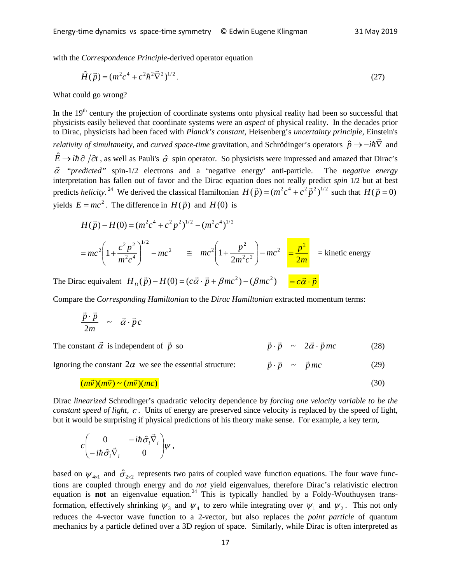with the *Correspondence Principle-*derived operator equation

$$
\hat{H}(\vec{p}) = (m^2c^4 + c^2\hbar^2\vec{\nabla}^2)^{1/2}.
$$
\n(27)

What could go wrong?

In the 19<sup>th</sup> century the projection of coordinate systems onto physical reality had been so successful that physicists easily believed that coordinate systems were an *aspect* of physical reality. In the decades prior to Dirac, physicists had been faced with *Planck's constant*, Heisenberg's *uncertainty principle*, Einstein's *relativity of simultaneity,* and *curved space-time* gravitation, and Schrödinger's operators  $\hat{p} \rightarrow -i\hbar\vec{\nabla}$  and *relativity of simultaneity,* and *curved space-time* gravitation, and Schrödinger's operators  $\hat{p$  $\hat{E} \to i\hbar \partial/\partial t$ , as well as Pauli's  $\hat{\sigma}$  spin operator. So physicists were impressed and amazed that Dirac's α "*predicted"* spin-1/2 electrons and a 'negative energy' anti-particle. The *negative energy* interpretation has fallen out of favor and the Dirac equation does not really predict *spin* 1/2 but at best predicts *helicity*.<sup>24</sup> We derived the classical Hamiltonian  $H(\vec{p}) = (m^2c^4 + c^2\vec{p}^2)^{1/2}$  such that  $H(\vec{p} = 0)$ yields  $E = mc^2$ . The difference in  $H(\vec{p})$  and  $H(0)$  is

$$
H(\vec{p}) - H(0) = (m^2c^4 + c^2p^2)^{1/2} - (m^2c^4)^{1/2}
$$
  
=  $mc^2 \left(1 + \frac{c^2p^2}{m^2c^4}\right)^{1/2} - mc^2 \equiv mc^2 \left(1 + \frac{p^2}{2m^2c^2}\right) - mc^2 \equiv \frac{p^2}{2m}$  = kinetic energy

The Dirac equivalent  $H_D(\vec{p}) - H(0) = (c\vec{\alpha} \cdot \vec{p} + \beta mc^2) - (\beta mc^2) = c\vec{\alpha} \cdot \vec{p}$ 

Compare the *Corresponding Hamiltonian* to the *Dirac Hamiltonian* extracted momentum terms:

$$
\frac{\vec{p}\cdot\vec{p}}{2m} \sim \vec{\alpha}\cdot\vec{p}c
$$

The constant  $\vec{\alpha}$  is independent of  $\vec{p}$  $\vec{p} \cdot \vec{p} \sim 2\vec{\alpha} \cdot \vec{p}$  *mc* (28)

Ignoring the constant  $2\alpha$  we see the essential structure:  $\vec{p} \cdot \vec{p} \sim \vec{p}mc$  (29)

$$
(m\vec{v})(m\vec{v}) \sim (m\vec{v})(mc)
$$
\n(30)

Dirac *linearized* Schrodinger's quadratic velocity dependence by *forcing one velocity variable to be the constant speed of light*, *c* . Units of energy are preserved since velocity is replaced by the speed of light, but it would be surprising if physical predictions of his theory make sense. For example, a key term,

$$
c \begin{pmatrix} 0 & -i\hbar \hat{\sigma}_i \vec{\nabla}_i \\ -i\hbar \hat{\sigma}_i \vec{\nabla}_i & 0 \end{pmatrix} \psi ,
$$

based on  $\psi_{4\times 1}$  and  $\hat{\sigma}_{2\times 2}$  represents two pairs of coupled wave function equations. The four wave functions are coupled through energy and do *not* yield eigenvalues, therefore Dirac's relativistic electron equation is **not** an eigenvalue equation.<sup>24</sup> This is typically handled by a Foldy-Wouthuysen transformation, effectively shrinking  $\psi_3$  and  $\psi_4$  to zero while integrating over  $\psi_1$  and  $\psi_2$ . This not only reduces the 4-vector wave function to a 2-vector, but also replaces the *point particle* of quantum mechanics by a particle defined over a 3D region of space. Similarly, while Dirac is often interpreted as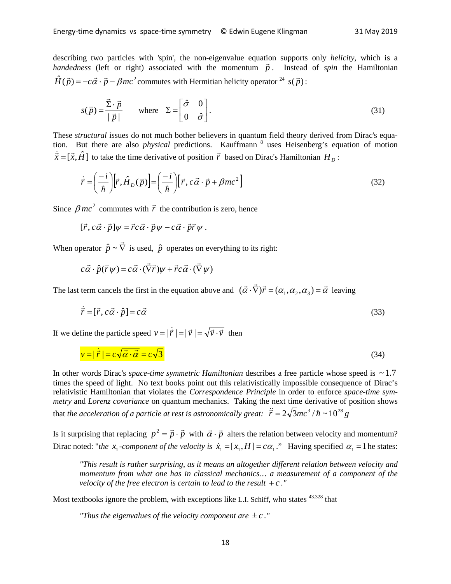describing two particles with 'spin', the non-eigenvalue equation supports only *helicity*, which is a describing two particles with spin, the non-eigenvalue equation supports only *neticity*, which is a *handedness* (left or right) associated with the momentum  $\vec{p}$ . Instead of *spin* the Hamiltonian  $\hat{H}(\vec{p}) = -c\vec{\alpha} \cdot \vec{p} - \beta mc^2$  commutes with Hermitian helicity operator <sup>24</sup> *s*( $\vec{p}$ ):

$$
s(\vec{p}) = \frac{\vec{\Sigma} \cdot \vec{p}}{|\vec{p}|} \quad \text{where} \quad \Sigma = \begin{bmatrix} \hat{\sigma} & 0 \\ 0 & \hat{\sigma} \end{bmatrix} . \tag{31}
$$

These *structural* issues do not much bother believers in quantum field theory derived from Dirac's equation. But there are also *physical* predictions. Kauffmann<sup>8</sup> uses Heisenberg's equation of motion  $\vec{x} = [\vec{x}, \hat{H}]$  to take the time derivative of position  $\vec{r}$  based on Dirac's Hamiltonian  $H_D$ :

$$
\dot{\vec{r}} = \left(\frac{-i}{\hbar}\right) [\vec{r}, \hat{H}_D(\vec{p})] = \left(\frac{-i}{\hbar}\right) [\vec{r}, c\vec{\alpha} \cdot \vec{p} + \beta mc^2]
$$
\n(32)

Since  $\beta mc^2$  commutes with  $\vec{r}$  the contribution is zero, hence

$$
[\vec{r}, c\vec{\alpha} \cdot \vec{p}]\psi = \vec{r}c\vec{\alpha} \cdot \vec{p}\psi - c\vec{\alpha} \cdot \vec{p}\vec{r}\psi.
$$

When operator  $\hat{p} \sim \vec{\nabla}$  is used,  $\hat{p}$  operates on everything to its right:

$$
c\vec{\alpha} \cdot \hat{p}(\vec{r}\,\psi) = c\vec{\alpha} \cdot (\vec{\nabla}\vec{r})\psi + \vec{r}c\vec{\alpha} \cdot (\vec{\nabla}\,\psi)
$$

The last term cancels the first in the equation above and  $(\vec{\alpha} \cdot \vec{\nabla})\vec{r} = (\alpha_1, \alpha_2, \alpha_3) = \vec{\alpha}$  leaving

$$
\dot{\vec{r}} = [\vec{r}, c\vec{\alpha} \cdot \hat{p}] = c\vec{\alpha}
$$
\n(33)

If we define the particle speed  $v = |\dot{\vec{r}}| = |\vec{v}| = \sqrt{\vec{v} \cdot \vec{v}}$  then

$$
v = |\dot{\vec{r}}| = c\sqrt{\vec{\alpha} \cdot \vec{\alpha}} = c\sqrt{3}
$$
\n(34)

In other words Dirac's *space-time symmetric Hamiltonian* describes a free particle whose speed is  $\sim$  1.7 times the speed of light. No text books point out this relativistically impossible consequence of Dirac's relativistic Hamiltonian that violates the *Correspondence Principle* in order to enforce *space-time symmetry* and *Lorenz covariance* on quantum mechanics. Taking the next time derivative of position shows that *the acceleration of a particle at rest is astronomically great:*  $\ddot{\vec{r}} = 2\sqrt{3}mc^3/\hbar \sim 10^{28} g$ 

Is it surprising that replacing  $p^2 = \vec{p} \cdot \vec{p}$  with  $\vec{\alpha} \cdot \vec{p}$  alters the relation between velocity and momentum? Dirac noted: "*the x*<sub>1</sub> *-component of the velocity is*  $\dot{x}_1 = [x_1, H] = c\alpha_1$ ." Having specified  $\alpha_1 = 1$  he states:

*"This result is rather surprising, as it means an altogether different relation between velocity and momentum from what one has in classical mechanics… a measurement of a component of the velocity of the free electron is certain to lead to the result*  $+c$ ."

Most textbooks ignore the problem, with exceptions like L.I. Schiff, who states <sup>43.328</sup> that

*"Thus the eigenvalues of the velocity component are*  $\pm c$ *."*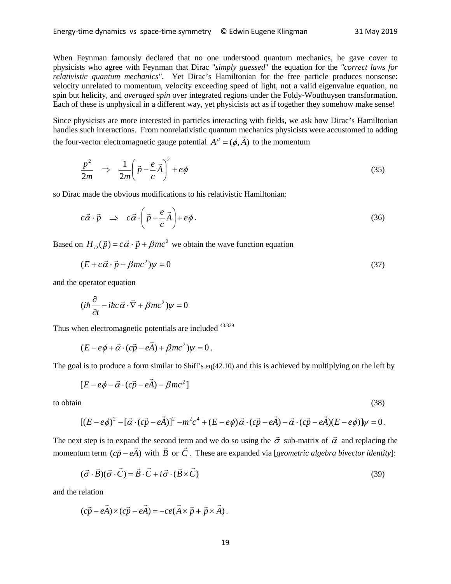When Feynman famously declared that no one understood quantum mechanics, he gave cover to physicists who agree with Feynman that Dirac "*simply guessed*" the equation for the *"correct laws for relativistic quantum mechanics"*. Yet Dirac's Hamiltonian for the free particle produces nonsense: velocity unrelated to momentum, velocity exceeding speed of light, not a valid eigenvalue equation, no spin but helicity, and *averaged spin* over integrated regions under the Foldy-Wouthuysen transformation. Each of these is unphysical in a different way, yet physicists act as if together they somehow make sense!

Since physicists are more interested in particles interacting with fields, we ask how Dirac's Hamiltonian handles such interactions. From nonrelativistic quantum mechanics physicists were accustomed to adding the four-vector electromagnetic gauge potential  $A^{\mu} = (\phi, \vec{A})$  to the momentum

$$
\frac{p^2}{2m} \Rightarrow \frac{1}{2m} \left( \vec{p} - \frac{e}{c} \vec{A} \right)^2 + e\phi \tag{35}
$$

so Dirac made the obvious modifications to his relativistic Hamiltonian:

$$
c\vec{\alpha} \cdot \vec{p} \Rightarrow c\vec{\alpha} \cdot \left(\vec{p} - \frac{e}{c}\vec{A}\right) + e\phi. \tag{36}
$$

Based on  $H_{p}(\vec{p}) = c\vec{\alpha} \cdot \vec{p} + \beta mc^2$  we obtain the wave function equation

$$
(E + c\vec{\alpha} \cdot \vec{p} + \beta mc^2)\psi = 0
$$
\n(37)

and the operator equation

$$
(i\hbar\frac{\partial}{\partial t} - i\hbar c\vec{\alpha}\cdot\vec{\nabla} + \beta mc^2)\psi = 0
$$

Thus when electromagnetic potentials are included <sup>43.329</sup>

$$
(E - e\phi + \vec{\alpha} \cdot (c\vec{p} - e\vec{A}) + \beta mc^2)\psi = 0.
$$

The goal is to produce a form similar to Shiff's eq(42.10) and this is achieved by multiplying on the left by

$$
[E - e\phi - \vec{\alpha} \cdot (c\vec{p} - e\vec{A}) - \beta mc^2]
$$

to obtain (38)

$$
[(E-e\phi)^2-[\vec{\alpha}\cdot(c\vec{p}-e\vec{A})]^2-m^2c^4+(E-e\phi)\vec{\alpha}\cdot(c\vec{p}-e\vec{A})-\vec{\alpha}\cdot(c\vec{p}-e\vec{A})(E-e\phi)]\psi=0.
$$

The next step is to expand the second term and we do so using the  $\vec{\sigma}$  sub-matrix of  $\vec{\alpha}$  and replacing the momentum term  $(c\vec{p} - e\vec{A})$  with  $\vec{B}$  or  $\vec{C}$ . These are expanded via [*geometric algebra bivector identity*]:

$$
(\vec{\sigma} \cdot \vec{B})(\vec{\sigma} \cdot \vec{C}) = \vec{B} \cdot \vec{C} + i\vec{\sigma} \cdot (\vec{B} \times \vec{C})
$$
\n(39)

and the relation

$$
(c\vec{p} - e\vec{A}) \times (c\vec{p} - e\vec{A}) = -ce(\vec{A} \times \vec{p} + \vec{p} \times \vec{A}).
$$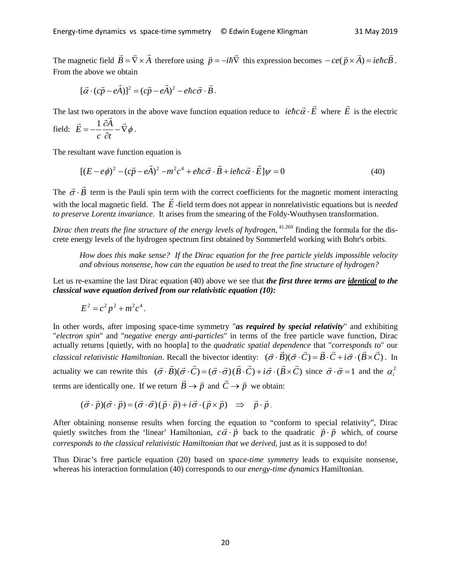The magnetic field  $\vec{B} = \vec{\nabla} \times \vec{A}$  therefore using  $\vec{p} = -i\hbar \vec{\nabla}$  this expression becomes  $-ce(\vec{p} \times \vec{A}) = ie\hbar c\vec{B}$ . From the above we obtain

$$
[\vec{\alpha} \cdot (c\vec{p} - e\vec{A})]^2 = (c\vec{p} - e\vec{A})^2 - e\hbar c\vec{\sigma} \cdot \vec{B}.
$$

The last two operators in the above wave function equation reduce to  $\vec{i}$  *iehc*  $\vec{\alpha} \cdot \vec{E}$  where  $\vec{E}$  is the electric

field: 
$$
\vec{E} = -\frac{1}{c} \frac{\partial \vec{A}}{\partial t} - \vec{\nabla} \phi
$$
.

The resultant wave function equation is

$$
[(E - e\phi)^2 - (c\vec{p} - e\vec{A})^2 - m^2c^4 + e\hbar c\vec{\sigma} \cdot \vec{B} + ie\hbar c\vec{\alpha} \cdot \vec{E}]\psi = 0
$$
\n(40)

The  $\vec{\sigma} \cdot \vec{B}$  term is the Pauli spin term with the correct coefficients for the magnetic moment interacting with the local magnetic field. The *E* -field term does not appear in nonrelativistic equations but is *needed to preserve Lorentz invariance*. It arises from the smearing of the Foldy-Wouthysen transformation.

*Dirac then treats the fine structure of the energy levels of hydrogen*, 41.269 finding the formula for the discrete energy levels of the hydrogen spectrum first obtained by Sommerfeld working with Bohr's orbits.

*How does this make sense? If the Dirac equation for the free particle yields impossible velocity and obvious nonsense, how can the equation be used to treat the fine structure of hydrogen?*

Let us re-examine the last Dirac equation (40) above we see that *the first three terms are identical to the classical wave equation derived from our relativistic equation (10):*

$$
E^2 = c^2 p^2 + m^2 c^4.
$$

In other words, after imposing space-time symmetry "*as required by special relativity*" and exhibiting "*electron spin*" and "*negative energy anti-particles*" in terms of the free particle wave function, Dirac actually returns [quietly, with no hoopla] to the *quadratic spatial dependence* that "*corresponds to*" our *classical relativistic Hamiltonian.* Recall the bivector identity:  $(\vec{\sigma} \cdot \vec{B})(\vec{\sigma} \cdot \vec{C}) = \vec{B} \cdot \vec{C} + i \vec{\sigma} \cdot (\vec{B} \times \vec{C})$ . In actuality we can rewrite this  $(\vec{\sigma} \cdot \vec{B})(\vec{\sigma} \cdot \vec{C}) = (\vec{\sigma} \cdot \vec{\sigma})(\vec{B} \cdot \vec{C}) + i \vec{\sigma} \cdot (\vec{B} \times \vec{C})$  since  $\vec{\sigma} \cdot \vec{\sigma} = 1$  and the  $\alpha_i^2$ terms are identically one. If we return  $\vec{B} \rightarrow \vec{p}$  and  $\vec{C} \rightarrow \vec{p}$  we obtain:

$$
(\vec{\sigma} \cdot \vec{p})(\vec{\sigma} \cdot \vec{p}) = (\vec{\sigma} \cdot \vec{\sigma})(\vec{p} \cdot \vec{p}) + i \vec{\sigma} \cdot (\vec{p} \times \vec{p}) \Rightarrow \vec{p} \cdot \vec{p}.
$$

After obtaining nonsense results when forcing the equation to "conform to special relativity", Dirac After obtaining nonsense results when forcing the equation to comform to special relativity, Dirac quietly switches from the 'linear' Hamiltonian,  $c\vec{\alpha} \cdot \vec{p}$  back to the quadratic  $\vec{p} \cdot \vec{p}$  which, of course *corresponds to the classical relativistic Hamiltonian that we derived*, just as it is supposed to do!

Thus Dirac's free particle equation (20) based on *space-time symmetry* leads to exquisite nonsense, whereas his interaction formulation (40) corresponds to our *energy-time dynamics* Hamiltonian.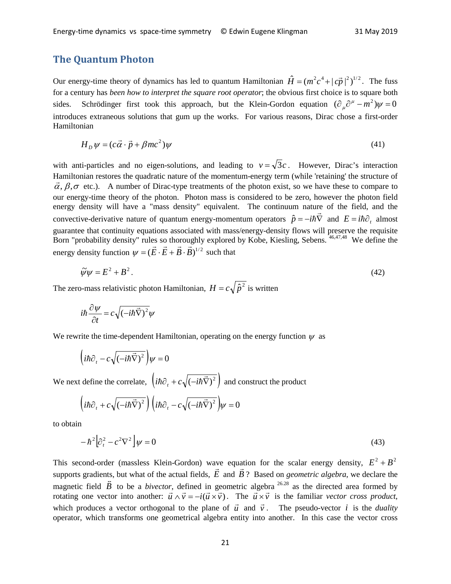## **The Quantum Photon**

Our energy-time theory of dynamics has led to quantum Hamiltonian  $\hat{H} = (m^2c^4 + |\vec{cp}|^2)^{1/2}$ . The fuss for a century has *been how to interpret the square root operator*; the obvious first choice is to square both sides. Schrödinger first took this approach, but the Klein-Gordon equation  $(\partial_{\mu} \partial^{\mu} - m^2) \psi = 0$ introduces extraneous solutions that gum up the works. For various reasons, Dirac chose a first-order Hamiltonian

$$
H_D \psi = (c\vec{\alpha} \cdot \vec{p} + \beta mc^2) \psi \tag{41}
$$

with anti-particles and no eigen-solutions, and leading to  $v = \sqrt{3}c$ . However, Dirac's interaction Hamiltonian restores the quadratic nature of the momentum-energy term (while 'retaining' the structure of  $\vec{\alpha}, \beta, \sigma$  etc.). A number of Dirac-type treatments of the photon exist, so we have these to compare to our energy-time theory of the photon. Photon mass is considered to be zero, however the photon field energy density will have a "mass density" equivalent. The continuum nature of the field, and the convective-derivative nature of quantum energy-momentum operators  $\hat{p} = -i\hbar \vec{\nabla}$  and  $E = i\hbar \partial_t$  almost guarantee that continuity equations associated with mass/energy-density flows will preserve the requisite Born "probability density" rules so thoroughly explored by Kobe, Kiesling, Sebens. <sup>46,47,48</sup> We define the energy density function  $\psi = (\vec{E} \cdot \vec{E} + \vec{B} \cdot \vec{B})^{1/2}$  such that

$$
\tilde{\psi}\psi = E^2 + B^2. \tag{42}
$$

The zero-mass relativistic photon Hamiltonian,  $H = c\sqrt{\hat{p}^2}$  is written

$$
i\hbar \frac{\partial \psi}{\partial t} = c\sqrt{(-i\hbar \vec{\nabla})^2}\psi
$$

We rewrite the time-dependent Hamiltonian, operating on the energy function  $\psi$  as

$$
\left(i\hbar\partial_t - c\sqrt{(-i\hbar\vec{\nabla})^2}\right)\psi = 0
$$

We next define the correlate,  $\left(i\hbar\partial_{t} + c\sqrt{(-i\hbar\vec{\nabla})^{2}}\right)$  and construct the product

$$
\left(i\hbar\partial_{t} + c\sqrt{(-i\hbar\vec{\nabla})^{2}}\right)\left(i\hbar\partial_{t} - c\sqrt{(-i\hbar\vec{\nabla})^{2}}\right)\psi = 0
$$

to obtain

$$
-\hbar^2 \left[\partial_t^2 - c^2 \nabla^2\right] \psi = 0\tag{43}
$$

This second-order (massless Klein-Gordon) wave equation for the scalar energy density,  $E^2 + B^2$ Fins second-order (massless Kiell-Oordon) wave equal<br>supports gradients, but what of the actual fields,  $\vec{E}$  and  $\vec{B}$ ? Based on *geometric algebra*, we declare the supports gradients, but what of the actual fields,  $E$  and  $B$ ? Based on *geometric algebra*, we declare the magnetic field  $\vec{B}$  to be a *bivector*, defined in geometric algebra  $26.28$  as the directed area formed by rotating one vector into another:  $\vec{u} \wedge \vec{v} = -i(\vec{u} \times \vec{v})$ . The  $\vec{u} \times \vec{v}$  is the familiar *vector cross product*, which produces a vector orthogonal to the plane of  $\vec{u}$  and  $\vec{v}$ . The pseudo-vector *i* is the *duality* which operator, which transforms one geometrical algebra entity into another. In this case the vector cross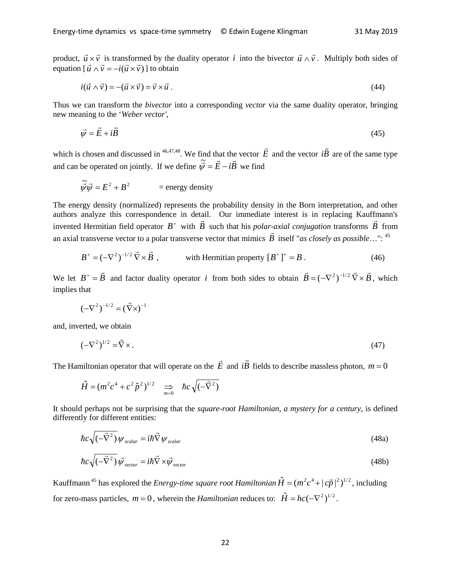product,  $\vec{u} \times \vec{v}$  is transformed by the duality operator *i* into the bivector  $\vec{u} \wedge \vec{v}$ . Multiply both sides of equation  $[\vec{u} \wedge \vec{v} = -i(\vec{u} \times \vec{v})]$  to obtain

$$
i(\vec{u} \wedge \vec{v}) = -(\vec{u} \times \vec{v}) = \vec{v} \times \vec{u} \,. \tag{44}
$$

Thus we can transform the *bivector* into a corresponding *vector* via the same duality operator, bringing new meaning to the '*Weber vector'*,

$$
\vec{\psi} = \vec{E} + i\vec{B} \tag{45}
$$

which is chosen and discussed in <sup>46,47,48</sup>. We find that the vector  $\vec{E}$  and the vector  $i\vec{B}$ are of the same type and can be operated on jointly. If we define  $\tilde{\vec{w}} = \vec{E} - i\vec{B}$  we find

$$
\widetilde{\vec{\psi}}\vec{\psi} = E^2 + B^2
$$
 = energy density

The energy density (normalized) represents the probability density in the Born interpretation, and other authors analyze this correspondence in detail. Our immediate interest is in replacing Kauffmann's additions analyze this correspondence in detail. Our immediate interest is in replacing Kaurinianiis<br>invented Hermitian field operator  $B^+$  with  $\ddot{B}$  such that his *polar-axial conjugation* transforms  $\vec{B}$  from an axial transverse vector to a polar transverse vector that mimics  $\vec{B}$  itself "*as closely as possible*...": <sup>45</sup>

$$
B^+ = (-\nabla^2)^{-1/2} \vec{\nabla} \times \vec{B} , \qquad \text{with Hermitian property } [B^+]^+ = B . \qquad (46)
$$

We let  $B^+ = \vec{B}$  and factor duality operator *i* from both sides to obtain  $\vec{B} = (-\nabla^2)^{-1/2} \vec{\nabla} \times \vec{B}$ , which implies that

$$
(-\nabla^2)^{-1/2} = (\vec{\nabla} \times)^{-1}
$$

and, inverted, we obtain

$$
\left(-\nabla^2\right)^{1/2} = \vec{\nabla} \times. \tag{47}
$$

The Hamiltonian operator that will operate on the  $\vec{E}$  and  $i\vec{B}$ fields to describe massless photon,  $m = 0$ 

$$
\hat{H} = (m^2 c^4 + c^2 \hat{p}^2)^{1/2} \implies \hbar c \sqrt{(-\vec{\nabla}^2)}
$$

It should perhaps not be surprising that the *square-root Hamiltonian*, *a mystery for a century*, is defined differently for different entities:

$$
\hbar c \sqrt{(-\vec{\nabla}^2)} \psi_{scalar} = i\hbar \vec{\nabla} \psi_{scalar}
$$
\n(48a)

$$
\hbar c \sqrt{(-\vec{\nabla}^2)} \vec{\psi}_{vector} = i\hbar \vec{\nabla} \times \vec{\psi}_{vector}
$$
\n(48b)

Kauffmann<sup>45</sup> has explored the *Energy-time square root Hamiltonian*  $\hat{H} = (m^2c^4 + |\vec{cp}|^2)^{1/2}$ , including for zero-mass particles,  $m = 0$ , wherein the *Hamiltonian* reduces to:  $\hat{H} = hc(-\nabla^2)^{1/2}$ .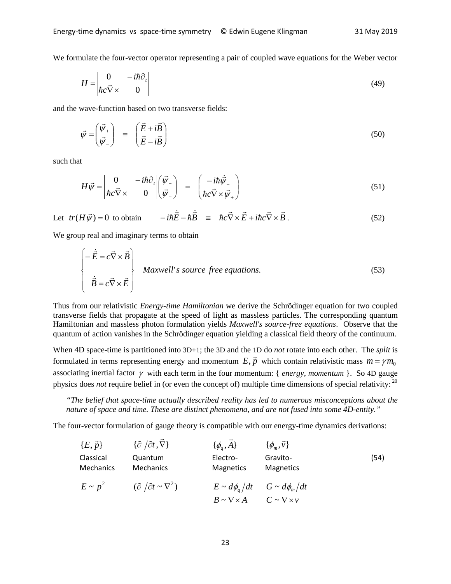We formulate the four-vector operator representing a pair of coupled wave equations for the Weber vector

$$
H = \begin{vmatrix} 0 & -i\hbar \partial_t \\ \hbar c \vec{\nabla} \times & 0 \end{vmatrix}
$$
 (49)

and the wave-function based on two transverse fields:

$$
\vec{\psi} = \begin{pmatrix} \vec{\psi}_+ \\ \vec{\psi}_- \end{pmatrix} \equiv \begin{pmatrix} \vec{E} + i\vec{B} \\ \vec{E} - i\vec{B} \end{pmatrix}
$$
 (50)

such that

$$
H\vec{\psi} = \begin{vmatrix} 0 & -i\hbar \partial_t \\ \hbar c \vec{\nabla} \times & 0 \end{vmatrix} \begin{pmatrix} \vec{\psi}_+ \\ \vec{\psi}_- \end{pmatrix} = \begin{pmatrix} -i\hbar \dot{\vec{\psi}}_- \\ \hbar c \vec{\nabla} \times \vec{\psi}_+ \end{pmatrix}
$$
(51)

Let  $tr(H\vec{\psi}) = 0$  to obtain  $-i\hbar \vec{E} - \hbar \vec{B} = \hbar c \vec{\nabla} \times \vec{E} + i\hbar c \vec{\nabla} \times \vec{B}$ . (52)

We group real and imaginary terms to obtain

$$
\begin{bmatrix} -\dot{\vec{E}} = c\vec{\nabla} \times \vec{B} \\ \dot{\vec{B}} = c\vec{\nabla} \times \vec{E} \end{bmatrix}
$$
 Maxwell's source free equations. (53)

Thus from our relativistic *Energy-time Hamiltonian* we derive the Schrödinger equation for two coupled transverse fields that propagate at the speed of light as massless particles. The corresponding quantum Hamiltonian and massless photon formulation yields *Maxwell's source-free equations*. Observe that the quantum of action vanishes in the Schrödinger equation yielding a classical field theory of the continuum.

When 4D space-time is partitioned into 3D+1; the 3D and the 1D do *not* rotate into each other. The *split* is formulated in terms representing energy and momentum  $E, \vec{p}$ ,  $\vec{p}$  which contain relativistic mass  $m = \gamma m_0$ associating inertial factor γ with each term in the four momentum: { *energy, momentum* }. So 4D gauge physics does *not* require belief in (or even the concept of) multiple time dimensions of special relativity: <sup>20</sup>

*"The belief that space-time actually described reality has led to numerous misconceptions about the nature of space and time. These are distinct phenomena, and are not fused into some 4D-entity."*

The four-vector formulation of gauge theory is compatible with our energy-time dynamics derivations:

$$
\{E, \vec{p}\} \qquad \{\partial/\partial t, \vec{\nabla}\} \qquad \{ \phi_q, \vec{A} \} \qquad \{ \phi_m, \vec{v} \}
$$
\nClassical  
\n**Quantum**  
\n**Mechanics**  
\n**Mechanics**  
\n**Archanics**  
\n**Mathum**  
\n**Algectro-Gravito-**  
\n**Gravito-**  
\n**Magnetics**  
\n**Magnetics**  
\n**Imapetics**  
\n**Imapetics**  
\n**St** $\sim p^2 \qquad (\partial/\partial t \sim \nabla^2) \qquad E \sim d\phi_q/dt \qquad G \sim d\phi_m/dt$   
\n**Br** $\sim \nabla \times A \qquad C \sim \nabla \times v$ \n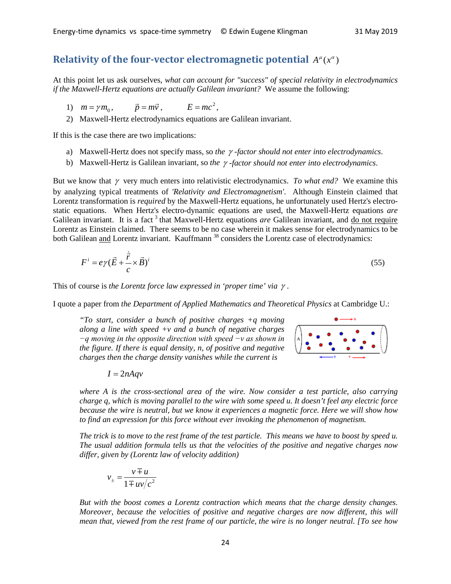# **Relativity of the four-vector electromagnetic potential**  $A^{\mu}(x^{\alpha})$

At this point let us ask ourselves, *what can account for "success" of special relativity in electrodynamics if the Maxwell-Hertz equations are actually Galilean invariant?* We assume the following:

- 1)  $m = \gamma m_0$ ,  $\vec{p} = m\vec{v}$ ,  $E = mc^2$ ,
- 2) Maxwell-Hertz electrodynamics equations are Galilean invariant.

If this is the case there are two implications:

- a) Maxwell-Hertz does not specify mass, so *the* γ *-factor should not enter into electrodynamics*.
- b) Maxwell-Hertz is Galilean invariant, so *the* γ *-factor should not enter into electrodynamics*.

But we know that γ very much enters into relativistic electrodynamics. *To what end?* We examine this by analyzing typical treatments of *'Relativity and Electromagnetism'*. Although Einstein claimed that Lorentz transformation is *required* by the Maxwell-Hertz equations, he unfortunately used Hertz's electrostatic equations. When Hertz's electro-dynamic equations are used, the Maxwell-Hertz equations *are* Galilean invariant. It is a fact<sup>3</sup> that Maxwell-Hertz equations *are* Galilean invariant, and do not require Lorentz as Einstein claimed. There seems to be no case wherein it makes sense for electrodynamics to be both Galilean and Lorentz invariant. Kauffmann<sup>38</sup> considers the Lorentz case of electrodynamics:

$$
F^i = e\gamma(\vec{E} + \frac{\dot{\vec{r}}}{c} \times \vec{B})^i
$$
\n(55)

This of course is *the Lorentz force law expressed in 'proper time' via* γ .

I quote a paper from *the Department of Applied Mathematics and Theoretical Physics* at Cambridge U.:

*"To start, consider a bunch of positive charges +q moving along a line with speed +v and a bunch of negative charges −q moving in the opposite direction with speed −v as shown in the figure. If there is equal density, n, of positive and negative charges then the charge density vanishes while the current is*



 $I = 2nAqv$ 

*where A is the cross-sectional area of the wire. Now consider a test particle, also carrying charge q, which is moving parallel to the wire with some speed u. It doesn't feel any electric force because the wire is neutral, but we know it experiences a magnetic force. Here we will show how to find an expression for this force without ever invoking the phenomenon of magnetism.*

*The trick is to move to the rest frame of the test particle. This means we have to boost by speed u. The usual addition formula tells us that the velocities of the positive and negative charges now differ, given by (Lorentz law of velocity addition)*

$$
v_{\pm} = \frac{v \mp u}{1 \mp uv/c^2}
$$

*But with the boost comes a Lorentz contraction which means that the charge density changes. Moreover, because the velocities of positive and negative charges are now different, this will mean that, viewed from the rest frame of our particle, the wire is no longer neutral. [To see how*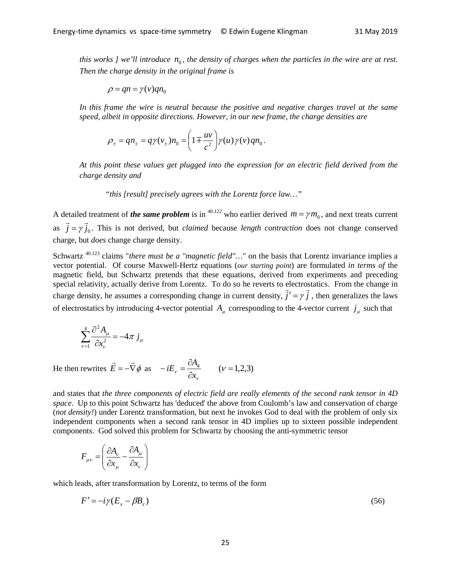*this works ] we'll introduce*  $n_0$ , the density of charges when the particles in the wire are at rest. *Then the charge density in the original frame is*

$$
\rho = qn = \gamma(v)qn_0
$$

In this frame the wire is neutral because the positive and negative charges travel at the same *speed, albeit in opposite directions. However, in our new frame, the charge densities are*

$$
\rho_{\pm} = q n_{\pm} = q \gamma(v_{\pm}) n_0 = \left(1 \mp \frac{uv}{c^2}\right) \gamma(u) \gamma(v) q n_0.
$$

*At this point these values get plugged into the expression for an electric field derived from the charge density and* 

"*this [result] precisely agrees with the Lorentz force law…"*

A detailed treatment of *the same problem* is in <sup>40.122</sup> who earlier derived  $m = \gamma m_0$ , and next treats current as  $\vec{j} = \gamma \vec{j}_0$ . This is not derived, but *claimed* because *length contraction* does not change conserved charge, but *does* change charge density.

Schwartz<sup>40.123</sup> claims "*there must be a "magnetic field"*..." on the basis that Lorentz invariance implies a vector potential. Of course Maxwell-Hertz equations (*our starting point*) are formulated *in terms of* the magnetic field, but Schwartz pretends that these equations, derived from experiments and preceding special relativity, actually derive from Lorentz. To do so he reverts to electrostatics. From the change in charge density, he assumes a corresponding change in current density,  $\vec{j}' = \gamma \vec{j}$ , then generalizes the laws of electrostatics by introducing 4-vector potential  $A_\mu$  corresponding to the 4-vector current  $j_\mu$  such that

$$
\sum_{\nu=1}^{4} \frac{\partial^2 A_{\mu}}{\partial x_{\nu}^2} = -4\pi j_{\mu}
$$

He then rewrites  $\vec{E} = -\vec{\nabla}\phi$  as  $-iE_v = \frac{\partial A_4}{\partial x_v}$   $(v = 1,2,3)$ ν <sup>ν</sup> *x*  $iE_v = \frac{\partial A_v}{\partial x}$ 

and states that *the three components of electric field are really elements of the second rank tensor in 4D space*. Up to this point Schwartz has 'deduced' the above from Coulomb's law and conservation of charge (*not density!*) under Lorentz transformation, but next he invokes God to deal with the problem of only six independent components when a second rank tensor in 4D implies up to sixteen possible independent components. God solved this problem for Schwartz by choosing the anti-symmetric tensor

$$
F_{\mu\nu} = \left(\frac{\partial A_{\nu}}{\partial x_{\mu}} - \frac{\partial A_{\mu}}{\partial x_{\nu}}\right)
$$

which leads, after transformation by Lorentz, to terms of the form

$$
F' = -i\gamma (E_x - \beta B_z) \tag{56}
$$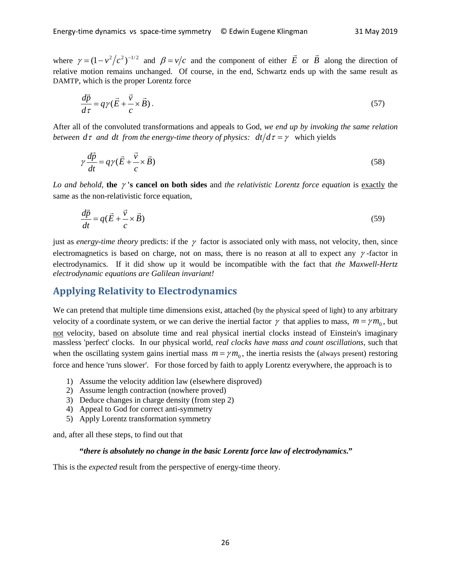where  $\gamma = (1 - v^2/c^2)^{-1/2}$  and  $\beta = v/c$  and the component of either  $\vec{E}$  or  $\vec{B}$  along the direction of relative motion remains unchanged. Of course, in the end, Schwartz ends up with the same result as DAMTP, which is the proper Lorentz force

$$
\frac{d\vec{p}}{d\tau} = q\gamma(\vec{E} + \frac{\vec{v}}{c} \times \vec{B}).
$$
\n(57)

After all of the convoluted transformations and appeals to God, *we end up by invoking the same relation between*  $d\tau$  *and dt from the energy-time theory of physics:*  $dt/d\tau = \gamma$  *which yields* 

$$
\gamma \frac{d\vec{p}}{dt} = q\gamma (\vec{E} + \frac{\vec{v}}{c} \times \vec{B})
$$
\n(58)

*Lo and behold*, **the** γ **'s cancel on both sides** and *the relativistic Lorentz force equation* is exactly the same as the non-relativistic force equation,

$$
\frac{d\vec{p}}{dt} = q(\vec{E} + \frac{\vec{v}}{c} \times \vec{B})
$$
\n(59)

just as *energy-time theory* predicts: if the  $\gamma$  factor is associated only with mass, not velocity, then, since electromagnetics is based on charge, not on mass, there is no reason at all to expect any  $\gamma$ -factor in electrodynamics. If it did show up it would be incompatible with the fact that *the Maxwell-Hertz electrodynamic equations are Galilean invariant!*

#### **Applying Relativity to Electrodynamics**

We can pretend that multiple time dimensions exist, attached (by the physical speed of light) to any arbitrary velocity of a coordinate system, or we can derive the inertial factor  $\gamma$  that applies to mass,  $m = \gamma m_0$ , but not velocity, based on absolute time and real physical inertial clocks instead of Einstein's imaginary massless 'perfect' clocks. In our physical world, *real clocks have mass and count oscillations*, such that when the oscillating system gains inertial mass  $m = \gamma m_0$ , the inertia resists the (always present) restoring force and hence 'runs slower'. For those forced by faith to apply Lorentz everywhere, the approach is to

- 1) Assume the velocity addition law (elsewhere disproved)
- 2) Assume length contraction (nowhere proved)
- 3) Deduce changes in charge density (from step 2)
- 4) Appeal to God for correct anti-symmetry
- 5) Apply Lorentz transformation symmetry

and, after all these steps, to find out that

#### **"***there is absolutely no change in the basic Lorentz force law of electrodynamics***."**

This is the *expected* result from the perspective of energy-time theory.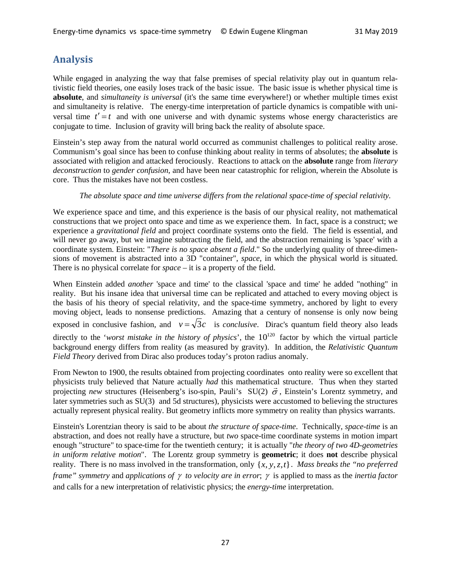# **Analysis**

While engaged in analyzing the way that false premises of special relativity play out in quantum relativistic field theories, one easily loses track of the basic issue. The basic issue is whether physical time is **absolute**, and *simultaneity is universal* (it's the same time everywhere!) or whether multiple times exist and simultaneity is relative. The energy-time interpretation of particle dynamics is compatible with universal time  $t' = t$  and with one universe and with dynamic systems whose energy characteristics are conjugate to time. Inclusion of gravity will bring back the reality of absolute space.

Einstein's step away from the natural world occurred as communist challenges to political reality arose. Communism's goal since has been to confuse thinking about reality in terms of absolutes; the **absolute** is associated with religion and attacked ferociously. Reactions to attack on the **absolute** range from *literary deconstruction* to *gender confusion*, and have been near catastrophic for religion, wherein the Absolute is core. Thus the mistakes have not been costless.

#### *The absolute space and time universe differs from the relational space-time of special relativity.*

We experience space and time, and this experience is the basis of our physical reality, not mathematical constructions that we project onto space and time as we experience them. In fact, space is a construct; we experience a *gravitational field* and project coordinate systems onto the field. The field is essential, and will never go away, but we imagine subtracting the field, and the abstraction remaining is 'space' with a coordinate system. Einstein: "*There is no space absent a field*." So the underlying quality of three-dimensions of movement is abstracted into a 3D "container", *space*, in which the physical world is situated. There is no physical correlate for *space* – it is a property of the field.

When Einstein added *another* 'space and time' to the classical 'space and time' he added "nothing" in reality. But his insane idea that universal time can be replicated and attached to every moving object is the basis of his theory of special relativity, and the space-time symmetry, anchored by light to every moving object, leads to nonsense predictions. Amazing that a century of nonsense is only now being exposed in conclusive fashion, and  $v = \sqrt{3}c$  is *conclusive*. Dirac's quantum field theory also leads directly to the '*worst mistake in the history of physics*', the  $10^{120}$  factor by which the virtual particle background energy differs from reality (as measured by gravity). In addition, the *Relativistic Quantum Field Theory* derived from Dirac also produces today's proton radius anomaly.

From Newton to 1900, the results obtained from projecting coordinates onto reality were so excellent that physicists truly believed that Nature actually *had* this mathematical structure. Thus when they started projecting *new* structures (Heisenberg's iso-spin, Pauli's  $SU(2)$   $\vec{\sigma}$ , Einstein's Lorentz symmetry, and projecting *new* structures (Heisenberg's iso-spin, Pauli's  $SU(2)$   $\vec{\sigma}$ , Einstein's Lorentz symmetry, and later symmetries such as SU(3) and 5d structures), physicists were accustomed to believing the structures actually represent physical reality. But geometry inflicts more symmetry on reality than physics warrants.

Einstein's Lorentzian theory is said to be about *the structure of space-time*. Technically, *space-time* is an abstraction, and does not really have a structure, but *two* space-time coordinate systems in motion impart enough "structure" to space-time for the twentieth century; it is actually "*the theory of two 4D-geometries in uniform relative motion*". The Lorentz group symmetry is **geometric**; it does **not** describe physical reality. There is no mass involved in the transformation, only  $\{x, y, z, t\}$ . Mass breaks the "no preferred" *frame" symmetry* and *applications of* γ *to velocity are in error*; γ is applied to mass as the *inertia factor* and calls for a new interpretation of relativistic physics; the *energy-time* interpretation.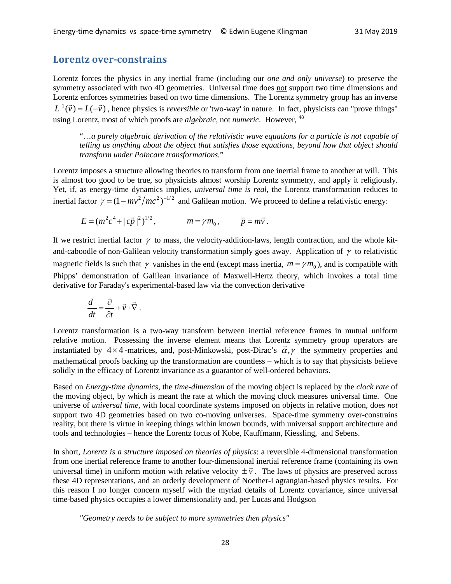#### **Lorentz over-constrains**

Lorentz forces the physics in any inertial frame (including our *one and only universe*) to preserve the symmetry associated with two 4D geometries. Universal time does not support two time dimensions and Lorentz enforces symmetries based on two time dimensions. The Lorentz symmetry group has an inverse  $L^{-1}(\vec{v}) = L(-\vec{v})$ , hence physics is *reversible* or 'two-way' in nature. In fact, physicists can "prove things" using Lorentz, most of which proofs are *algebraic*, not *numeric*. However, <sup>48</sup>

"…*a purely algebraic derivation of the relativistic wave equations for a particle is not capable of telling us anything about the object that satisfies those equations, beyond how that object should transform under Poincare transformations.*"

Lorentz imposes a structure allowing theories to transform from one inertial frame to another at will. This is almost too good to be true, so physicists almost worship Lorentz symmetry, and apply it religiously. Yet, if, as energy-time dynamics implies, *universal time is real*, the Lorentz transformation reduces to inertial factor  $\gamma = (1 - mv^2/mc^2)^{-1/2}$  and Galilean motion. We proceed to define a relativistic energy:

 $E = (m^2 c^4 + |c\vec{p}|^2)^{1/2},$   $m = \gamma m_0,$   $\vec{p} = m\vec{v}$ .

If we restrict inertial factor  $\gamma$  to mass, the velocity-addition-laws, length contraction, and the whole kitand-caboodle of non-Galilean velocity transformation simply goes away. Application of  $\gamma$  to relativistic magnetic fields is such that  $\gamma$  vanishes in the end (except mass inertia,  $m = \gamma m_0$ ), and is compatible with Phipps' demonstration of Galilean invariance of Maxwell-Hertz theory, which invokes a total time derivative for Faraday's experimental-based law via the convection derivative

$$
\frac{d}{dt} = \frac{\partial}{\partial t} + \vec{v} \cdot \vec{\nabla}.
$$

Lorentz transformation is a two-way transform between inertial reference frames in mutual uniform relative motion. Possessing the inverse element means that Lorentz symmetry group operators are instantiated by  $4 \times 4$ -matrices, and, post-Minkowski, post-Dirac's  $\vec{\alpha}, \gamma$  the symmetry properties and mathematical proofs backing up the transformation are countless – which is to say that physicists believe solidly in the efficacy of Lorentz invariance as a guarantor of well-ordered behaviors.

Based on *Energy-time dynamics*, the *time-dimension* of the moving object is replaced by the *clock rate* of the moving object, by which is meant the rate at which the moving clock measures universal time. One universe of *universal time*, with local coordinate systems imposed on objects in relative motion, does *not* support two 4D geometries based on two co-moving universes. Space-time symmetry over-constrains reality, but there is virtue in keeping things within known bounds, with universal support architecture and tools and technologies – hence the Lorentz focus of Kobe, Kauffmann, Kiessling, and Sebens.

In short, *Lorentz is a structure imposed on theories of physics*: a reversible 4-dimensional transformation from one inertial reference frame to another four-dimensional inertial reference frame (containing its own if the interval time) in uniform motion with relative velocity  $\pm \vec{v}$ . The laws of physics are preserved across universal time) in uniform motion with relative velocity  $\pm \vec{v}$ . The laws of physics are preserved acro these 4D representations, and an orderly development of Noether-Lagrangian-based physics results. For this reason I no longer concern myself with the myriad details of Lorentz covariance, since universal time-based physics occupies a lower dimensionality and, per Lucas and Hodgson

*"Geometry needs to be subject to more symmetries then physics"*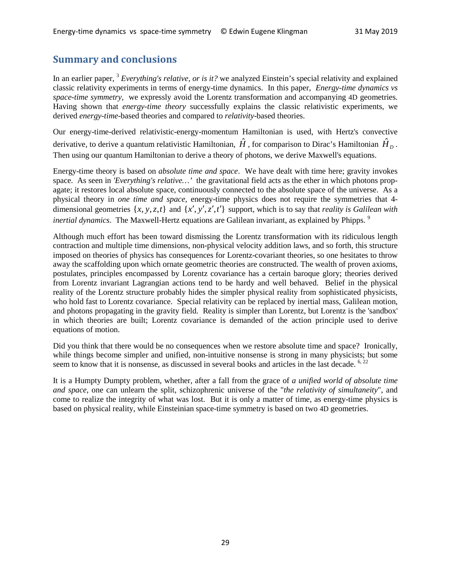# **Summary and conclusions**

In an earlier paper, <sup>3</sup> *Everything's relative, or is it?* we analyzed Einstein's special relativity and explained classic relativity experiments in terms of energy-time dynamics. In this paper, *Energy-time dynamics vs space-time symmetry,* we expressly avoid the Lorentz transformation and accompanying 4D geometries. Having shown that *energy-time theory* successfully explains the classic relativistic experiments, we derived *energy-time*-based theories and compared to *relativity*-based theories.

Our energy-time-derived relativistic-energy-momentum Hamiltonian is used, with Hertz's convective derivative, to derive a quantum relativistic Hamiltonian,  $\hat{H}$ , for comparison to Dirac's Hamiltonian  $\hat{H}_D$ . Then using our quantum Hamiltonian to derive a theory of photons, we derive Maxwell's equations.

Energy-time theory is based on *absolute time and space*. We have dealt with time here; gravity invokes space. As seen in *'Everything's relative*...' the gravitational field acts as the ether in which photons propagate; it restores local absolute space, continuously connected to the absolute space of the universe. As a physical theory in *one time and space*, energy-time physics does not require the symmetries that 4 dimensional geometries  $\{x, y, z, t\}$  and  $\{x', y', z', t'\}$  support, which is to say that *reality is Galilean with inertial dynamics*. The Maxwell-Hertz equations are Galilean invariant, as explained by Phipps.<sup>9</sup>

Although much effort has been toward dismissing the Lorentz transformation with its ridiculous length contraction and multiple time dimensions, non-physical velocity addition laws, and so forth, this structure imposed on theories of physics has consequences for Lorentz-covariant theories, so one hesitates to throw away the scaffolding upon which ornate geometric theories are constructed. The wealth of proven axioms, postulates, principles encompassed by Lorentz covariance has a certain baroque glory; theories derived from Lorentz invariant Lagrangian actions tend to be hardy and well behaved. Belief in the physical reality of the Lorentz structure probably hides the simpler physical reality from sophisticated physicists, who hold fast to Lorentz covariance. Special relativity can be replaced by inertial mass, Galilean motion, and photons propagating in the gravity field. Reality is simpler than Lorentz, but Lorentz is the 'sandbox' in which theories are built; Lorentz covariance is demanded of the action principle used to derive equations of motion.

Did you think that there would be no consequences when we restore absolute time and space? Ironically, while things become simpler and unified, non-intuitive nonsense is strong in many physicists; but some seem to know that it is nonsense, as discussed in several books and articles in the last decade. <sup>6, 22</sup>

It is a Humpty Dumpty problem, whether, after a fall from the grace of *a unified world of absolute time and space*, one can unlearn the split, schizophrenic universe of the "*the relativity of simultaneity*", and come to realize the integrity of what was lost. But it is only a matter of time, as energy-time physics is based on physical reality, while Einsteinian space-time symmetry is based on two 4D geometries.